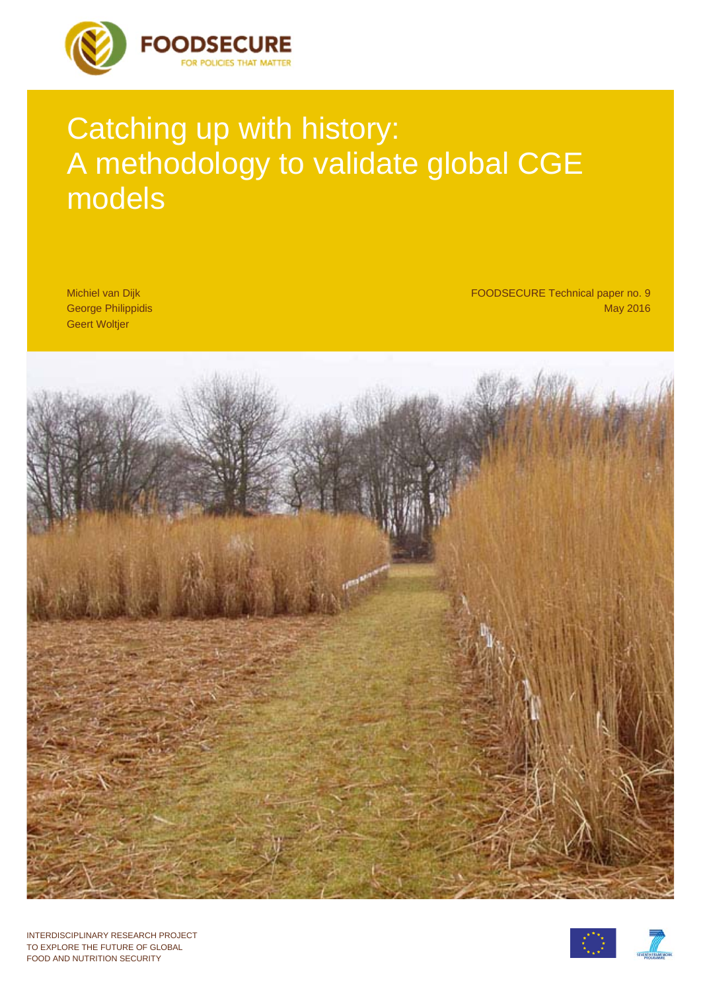

# Catching up with history: A methodology to validate global CGE models

Michiel van Dijk George Philippidis Geert Woltjer

FOODSECURE Technical paper no. 9 May 2016



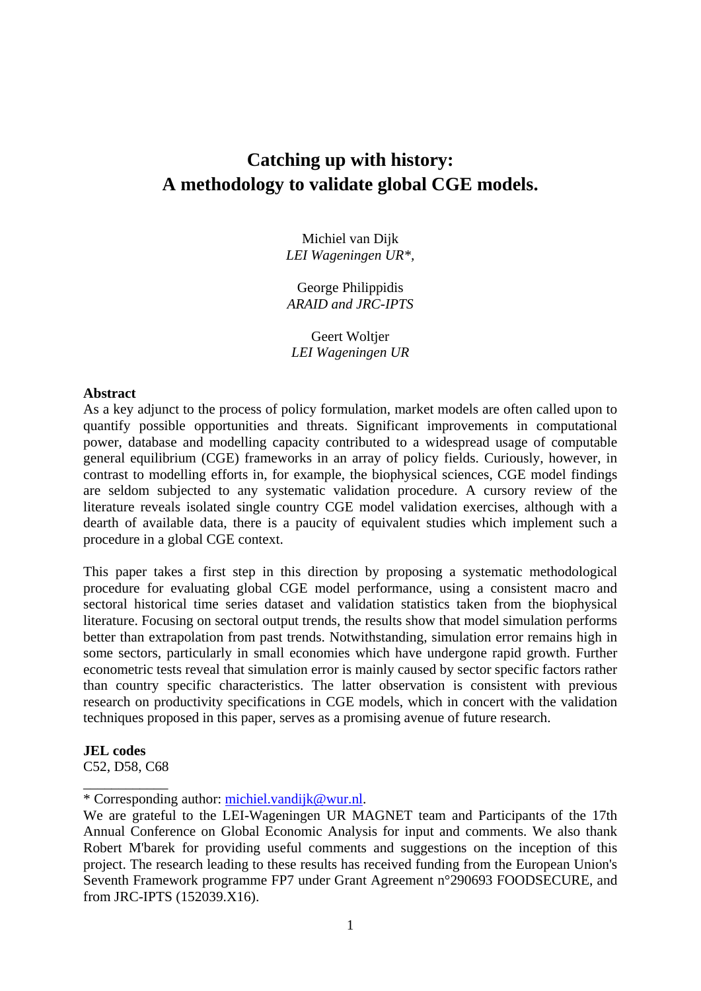# **Catching up with history: A methodology to validate global CGE models.**

Michiel van Dijk *LEI Wageningen UR\*,* 

George Philippidis *ARAID and JRC-IPTS* 

Geert Woltier *LEI Wageningen UR*

#### **Abstract**

As a key adjunct to the process of policy formulation, market models are often called upon to quantify possible opportunities and threats. Significant improvements in computational power, database and modelling capacity contributed to a widespread usage of computable general equilibrium (CGE) frameworks in an array of policy fields. Curiously, however, in contrast to modelling efforts in, for example, the biophysical sciences, CGE model findings are seldom subjected to any systematic validation procedure. A cursory review of the literature reveals isolated single country CGE model validation exercises, although with a dearth of available data, there is a paucity of equivalent studies which implement such a procedure in a global CGE context.

This paper takes a first step in this direction by proposing a systematic methodological procedure for evaluating global CGE model performance, using a consistent macro and sectoral historical time series dataset and validation statistics taken from the biophysical literature. Focusing on sectoral output trends, the results show that model simulation performs better than extrapolation from past trends. Notwithstanding, simulation error remains high in some sectors, particularly in small economies which have undergone rapid growth. Further econometric tests reveal that simulation error is mainly caused by sector specific factors rather than country specific characteristics. The latter observation is consistent with previous research on productivity specifications in CGE models, which in concert with the validation techniques proposed in this paper, serves as a promising avenue of future research.

#### **JEL codes**

C52, D58, C68 \_\_\_\_\_\_\_\_\_\_\_\_

<sup>\*</sup> Corresponding author: michiel.vandijk@wur.nl.

We are grateful to the LEI-Wageningen UR MAGNET team and Participants of the 17th Annual Conference on Global Economic Analysis for input and comments. We also thank Robert M'barek for providing useful comments and suggestions on the inception of this project. The research leading to these results has received funding from the European Union's Seventh Framework programme FP7 under Grant Agreement n°290693 FOODSECURE, and from JRC-IPTS (152039.X16).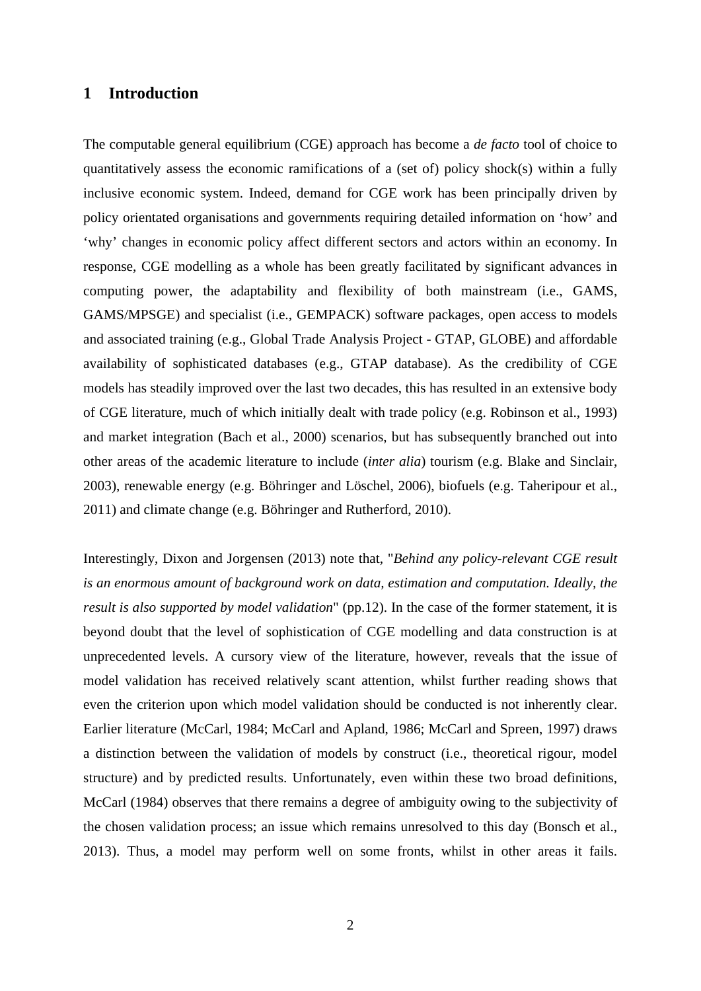# **1 Introduction**

The computable general equilibrium (CGE) approach has become a *de facto* tool of choice to quantitatively assess the economic ramifications of a (set of) policy shock(s) within a fully inclusive economic system. Indeed, demand for CGE work has been principally driven by policy orientated organisations and governments requiring detailed information on 'how' and 'why' changes in economic policy affect different sectors and actors within an economy. In response, CGE modelling as a whole has been greatly facilitated by significant advances in computing power, the adaptability and flexibility of both mainstream (i.e., GAMS, GAMS/MPSGE) and specialist (i.e., GEMPACK) software packages, open access to models and associated training (e.g., Global Trade Analysis Project - GTAP, GLOBE) and affordable availability of sophisticated databases (e.g., GTAP database). As the credibility of CGE models has steadily improved over the last two decades, this has resulted in an extensive body of CGE literature, much of which initially dealt with trade policy (e.g. Robinson et al., 1993) and market integration (Bach et al., 2000) scenarios, but has subsequently branched out into other areas of the academic literature to include (*inter alia*) tourism (e.g. Blake and Sinclair, 2003), renewable energy (e.g. Böhringer and Löschel, 2006), biofuels (e.g. Taheripour et al., 2011) and climate change (e.g. Böhringer and Rutherford, 2010).

Interestingly, Dixon and Jorgensen (2013) note that, "*Behind any policy-relevant CGE result is an enormous amount of background work on data, estimation and computation. Ideally, the result is also supported by model validation*" (pp.12). In the case of the former statement, it is beyond doubt that the level of sophistication of CGE modelling and data construction is at unprecedented levels. A cursory view of the literature, however, reveals that the issue of model validation has received relatively scant attention, whilst further reading shows that even the criterion upon which model validation should be conducted is not inherently clear. Earlier literature (McCarl, 1984; McCarl and Apland, 1986; McCarl and Spreen, 1997) draws a distinction between the validation of models by construct (i.e., theoretical rigour, model structure) and by predicted results. Unfortunately, even within these two broad definitions, McCarl (1984) observes that there remains a degree of ambiguity owing to the subjectivity of the chosen validation process; an issue which remains unresolved to this day (Bonsch et al., 2013). Thus, a model may perform well on some fronts, whilst in other areas it fails.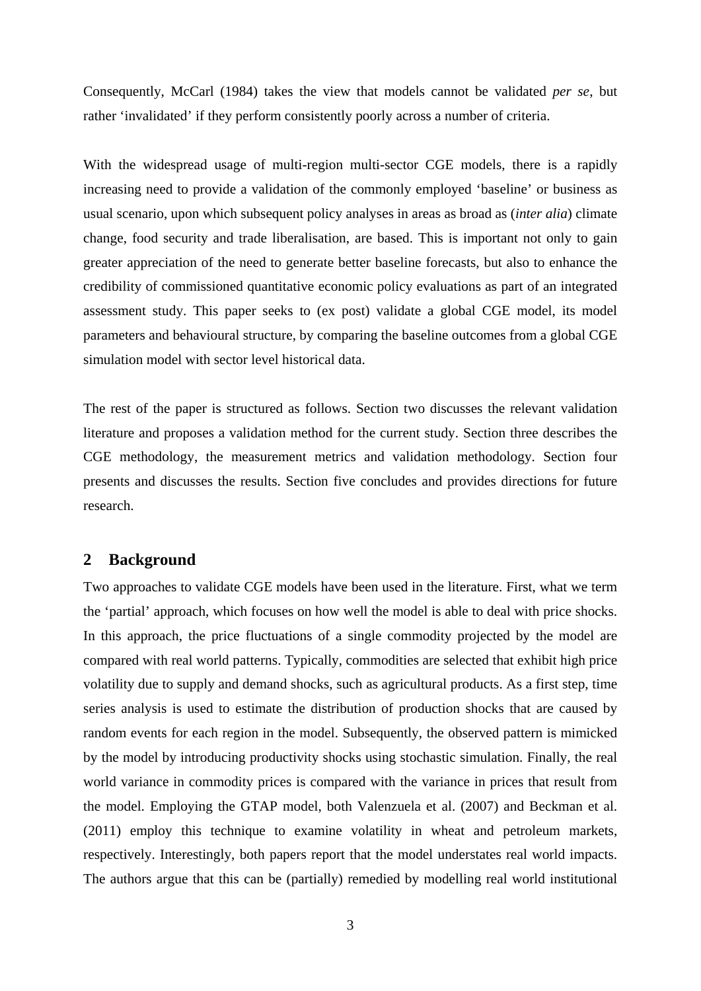Consequently, McCarl (1984) takes the view that models cannot be validated *per se*, but rather 'invalidated' if they perform consistently poorly across a number of criteria.

With the widespread usage of multi-region multi-sector CGE models, there is a rapidly increasing need to provide a validation of the commonly employed 'baseline' or business as usual scenario, upon which subsequent policy analyses in areas as broad as (*inter alia*) climate change, food security and trade liberalisation, are based. This is important not only to gain greater appreciation of the need to generate better baseline forecasts, but also to enhance the credibility of commissioned quantitative economic policy evaluations as part of an integrated assessment study. This paper seeks to (ex post) validate a global CGE model, its model parameters and behavioural structure, by comparing the baseline outcomes from a global CGE simulation model with sector level historical data.

The rest of the paper is structured as follows. Section two discusses the relevant validation literature and proposes a validation method for the current study. Section three describes the CGE methodology, the measurement metrics and validation methodology. Section four presents and discusses the results. Section five concludes and provides directions for future research.

## **2 Background**

Two approaches to validate CGE models have been used in the literature. First, what we term the 'partial' approach, which focuses on how well the model is able to deal with price shocks. In this approach, the price fluctuations of a single commodity projected by the model are compared with real world patterns. Typically, commodities are selected that exhibit high price volatility due to supply and demand shocks, such as agricultural products. As a first step, time series analysis is used to estimate the distribution of production shocks that are caused by random events for each region in the model. Subsequently, the observed pattern is mimicked by the model by introducing productivity shocks using stochastic simulation. Finally, the real world variance in commodity prices is compared with the variance in prices that result from the model. Employing the GTAP model, both Valenzuela et al. (2007) and Beckman et al. (2011) employ this technique to examine volatility in wheat and petroleum markets, respectively. Interestingly, both papers report that the model understates real world impacts. The authors argue that this can be (partially) remedied by modelling real world institutional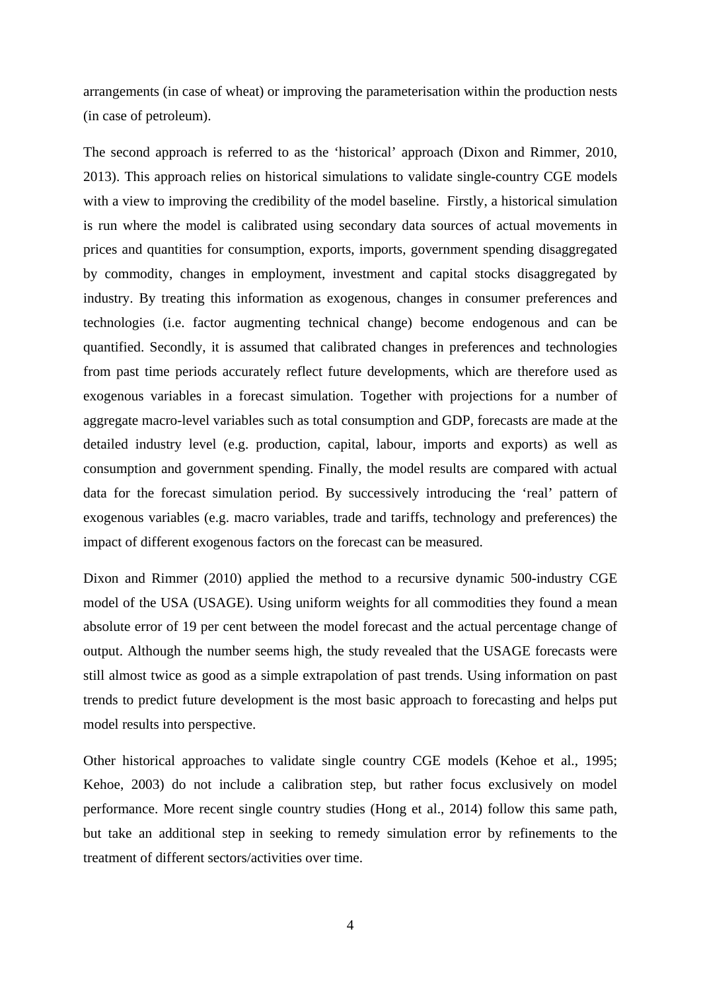arrangements (in case of wheat) or improving the parameterisation within the production nests (in case of petroleum).

The second approach is referred to as the 'historical' approach (Dixon and Rimmer, 2010, 2013). This approach relies on historical simulations to validate single-country CGE models with a view to improving the credibility of the model baseline. Firstly, a historical simulation is run where the model is calibrated using secondary data sources of actual movements in prices and quantities for consumption, exports, imports, government spending disaggregated by commodity, changes in employment, investment and capital stocks disaggregated by industry. By treating this information as exogenous, changes in consumer preferences and technologies (i.e. factor augmenting technical change) become endogenous and can be quantified. Secondly, it is assumed that calibrated changes in preferences and technologies from past time periods accurately reflect future developments, which are therefore used as exogenous variables in a forecast simulation. Together with projections for a number of aggregate macro-level variables such as total consumption and GDP, forecasts are made at the detailed industry level (e.g. production, capital, labour, imports and exports) as well as consumption and government spending. Finally, the model results are compared with actual data for the forecast simulation period. By successively introducing the 'real' pattern of exogenous variables (e.g. macro variables, trade and tariffs, technology and preferences) the impact of different exogenous factors on the forecast can be measured.

Dixon and Rimmer (2010) applied the method to a recursive dynamic 500-industry CGE model of the USA (USAGE). Using uniform weights for all commodities they found a mean absolute error of 19 per cent between the model forecast and the actual percentage change of output. Although the number seems high, the study revealed that the USAGE forecasts were still almost twice as good as a simple extrapolation of past trends. Using information on past trends to predict future development is the most basic approach to forecasting and helps put model results into perspective.

Other historical approaches to validate single country CGE models (Kehoe et al., 1995; Kehoe, 2003) do not include a calibration step, but rather focus exclusively on model performance. More recent single country studies (Hong et al., 2014) follow this same path, but take an additional step in seeking to remedy simulation error by refinements to the treatment of different sectors/activities over time.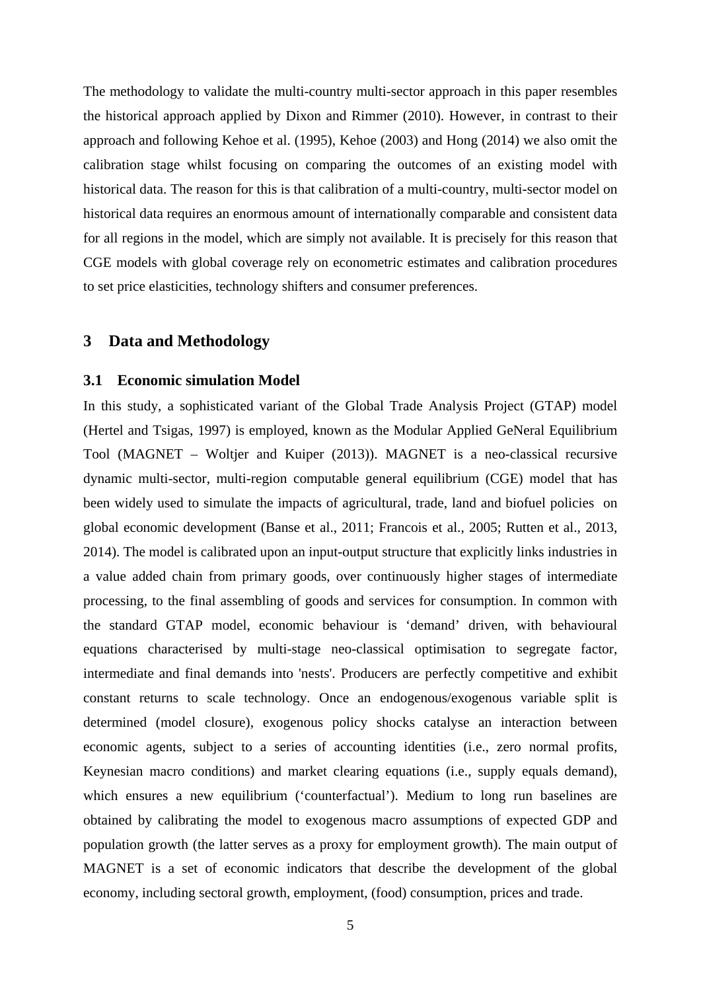The methodology to validate the multi-country multi-sector approach in this paper resembles the historical approach applied by Dixon and Rimmer (2010). However, in contrast to their approach and following Kehoe et al. (1995), Kehoe (2003) and Hong (2014) we also omit the calibration stage whilst focusing on comparing the outcomes of an existing model with historical data. The reason for this is that calibration of a multi-country, multi-sector model on historical data requires an enormous amount of internationally comparable and consistent data for all regions in the model, which are simply not available. It is precisely for this reason that CGE models with global coverage rely on econometric estimates and calibration procedures to set price elasticities, technology shifters and consumer preferences.

## **3 Data and Methodology**

## **3.1 Economic simulation Model**

In this study, a sophisticated variant of the Global Trade Analysis Project (GTAP) model (Hertel and Tsigas, 1997) is employed, known as the Modular Applied GeNeral Equilibrium Tool (MAGNET – Woltjer and Kuiper (2013)). MAGNET is a neo-classical recursive dynamic multi-sector, multi-region computable general equilibrium (CGE) model that has been widely used to simulate the impacts of agricultural, trade, land and biofuel policies on global economic development (Banse et al., 2011; Francois et al., 2005; Rutten et al., 2013, 2014). The model is calibrated upon an input-output structure that explicitly links industries in a value added chain from primary goods, over continuously higher stages of intermediate processing, to the final assembling of goods and services for consumption. In common with the standard GTAP model, economic behaviour is 'demand' driven, with behavioural equations characterised by multi-stage neo-classical optimisation to segregate factor, intermediate and final demands into 'nests'. Producers are perfectly competitive and exhibit constant returns to scale technology. Once an endogenous/exogenous variable split is determined (model closure), exogenous policy shocks catalyse an interaction between economic agents, subject to a series of accounting identities (i.e., zero normal profits, Keynesian macro conditions) and market clearing equations (i.e., supply equals demand), which ensures a new equilibrium ('counterfactual'). Medium to long run baselines are obtained by calibrating the model to exogenous macro assumptions of expected GDP and population growth (the latter serves as a proxy for employment growth). The main output of MAGNET is a set of economic indicators that describe the development of the global economy, including sectoral growth, employment, (food) consumption, prices and trade.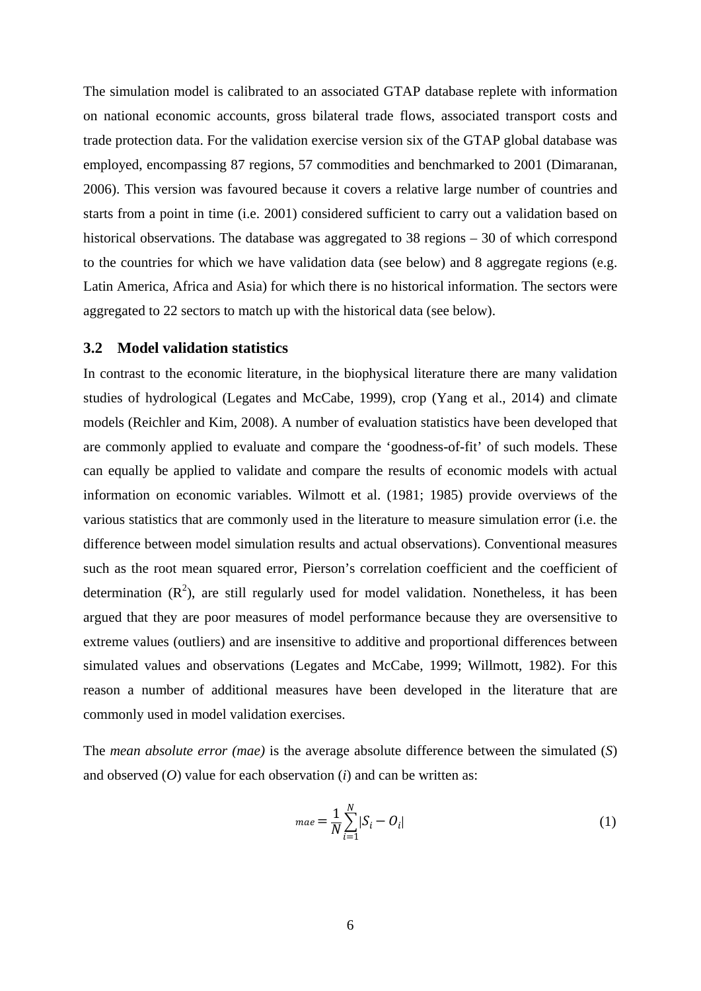The simulation model is calibrated to an associated GTAP database replete with information on national economic accounts, gross bilateral trade flows, associated transport costs and trade protection data. For the validation exercise version six of the GTAP global database was employed, encompassing 87 regions, 57 commodities and benchmarked to 2001 (Dimaranan, 2006). This version was favoured because it covers a relative large number of countries and starts from a point in time (i.e. 2001) considered sufficient to carry out a validation based on historical observations. The database was aggregated to 38 regions – 30 of which correspond to the countries for which we have validation data (see below) and 8 aggregate regions (e.g. Latin America, Africa and Asia) for which there is no historical information. The sectors were aggregated to 22 sectors to match up with the historical data (see below).

### **3.2 Model validation statistics**

In contrast to the economic literature, in the biophysical literature there are many validation studies of hydrological (Legates and McCabe, 1999), crop (Yang et al., 2014) and climate models (Reichler and Kim, 2008). A number of evaluation statistics have been developed that are commonly applied to evaluate and compare the 'goodness-of-fit' of such models. These can equally be applied to validate and compare the results of economic models with actual information on economic variables. Wilmott et al. (1981; 1985) provide overviews of the various statistics that are commonly used in the literature to measure simulation error (i.e. the difference between model simulation results and actual observations). Conventional measures such as the root mean squared error, Pierson's correlation coefficient and the coefficient of determination  $(R^2)$ , are still regularly used for model validation. Nonetheless, it has been argued that they are poor measures of model performance because they are oversensitive to extreme values (outliers) and are insensitive to additive and proportional differences between simulated values and observations (Legates and McCabe, 1999; Willmott, 1982). For this reason a number of additional measures have been developed in the literature that are commonly used in model validation exercises.

The *mean absolute error (mae)* is the average absolute difference between the simulated (*S*) and observed (*O*) value for each observation (*i*) and can be written as:

$$
_{mae} = \frac{1}{N} \sum_{i=1}^{N} |S_i - O_i|
$$
 (1)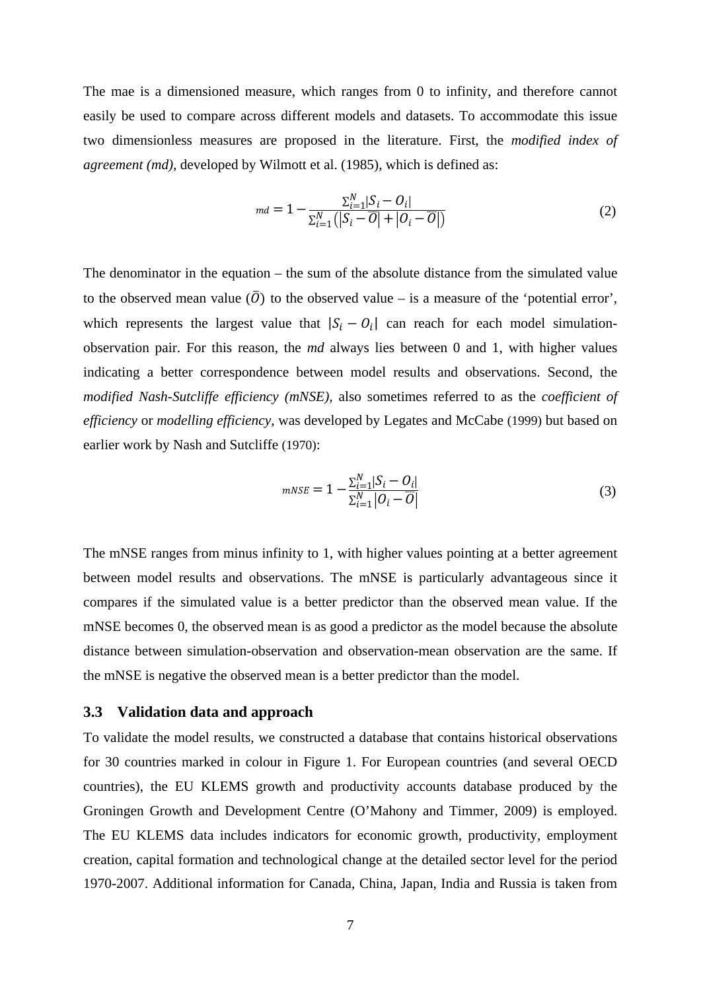The mae is a dimensioned measure, which ranges from 0 to infinity, and therefore cannot easily be used to compare across different models and datasets. To accommodate this issue two dimensionless measures are proposed in the literature. First, the *modified index of agreement (md),* developed by Wilmott et al. (1985), which is defined as:

$$
md = 1 - \frac{\sum_{i=1}^{N} |S_i - O_i|}{\sum_{i=1}^{N} (|S_i - \overline{O}| + |O_i - \overline{O}|)}
$$
(2)

The denominator in the equation – the sum of the absolute distance from the simulated value to the observed mean value  $(\overline{0})$  to the observed value – is a measure of the 'potential error', which represents the largest value that  $|S_i - O_i|$  can reach for each model simulationobservation pair. For this reason, the *md* always lies between 0 and 1, with higher values indicating a better correspondence between model results and observations. Second, the *modified Nash-Sutcliffe efficiency (mNSE),* also sometimes referred to as the *coefficient of efficiency* or *modelling efficiency*, was developed by Legates and McCabe (1999) but based on earlier work by Nash and Sutcliffe (1970):

$$
mNSE = 1 - \frac{\sum_{i=1}^{N} |S_i - O_i|}{\sum_{i=1}^{N} |O_i - \overline{O}|}
$$
\n(3)

The mNSE ranges from minus infinity to 1, with higher values pointing at a better agreement between model results and observations. The mNSE is particularly advantageous since it compares if the simulated value is a better predictor than the observed mean value. If the mNSE becomes 0, the observed mean is as good a predictor as the model because the absolute distance between simulation-observation and observation-mean observation are the same. If the mNSE is negative the observed mean is a better predictor than the model.

#### **3.3 Validation data and approach**

To validate the model results, we constructed a database that contains historical observations for 30 countries marked in colour in Figure 1. For European countries (and several OECD countries), the EU KLEMS growth and productivity accounts database produced by the Groningen Growth and Development Centre (O'Mahony and Timmer, 2009) is employed. The EU KLEMS data includes indicators for economic growth, productivity, employment creation, capital formation and technological change at the detailed sector level for the period 1970-2007. Additional information for Canada, China, Japan, India and Russia is taken from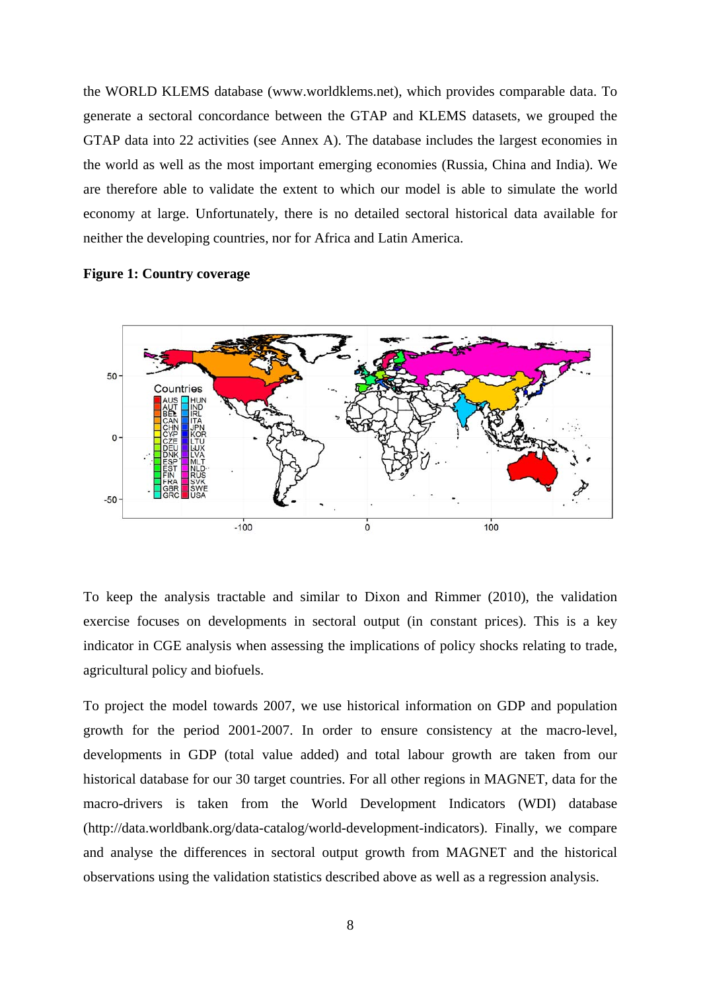the WORLD KLEMS database (www.worldklems.net), which provides comparable data. To generate a sectoral concordance between the GTAP and KLEMS datasets, we grouped the GTAP data into 22 activities (see Annex A). The database includes the largest economies in the world as well as the most important emerging economies (Russia, China and India). We are therefore able to validate the extent to which our model is able to simulate the world economy at large. Unfortunately, there is no detailed sectoral historical data available for neither the developing countries, nor for Africa and Latin America.

#### **Figure 1: Country coverage**



To keep the analysis tractable and similar to Dixon and Rimmer (2010), the validation exercise focuses on developments in sectoral output (in constant prices). This is a key indicator in CGE analysis when assessing the implications of policy shocks relating to trade, agricultural policy and biofuels.

To project the model towards 2007, we use historical information on GDP and population growth for the period 2001-2007. In order to ensure consistency at the macro-level, developments in GDP (total value added) and total labour growth are taken from our historical database for our 30 target countries. For all other regions in MAGNET, data for the macro-drivers is taken from the World Development Indicators (WDI) database (http://data.worldbank.org/data-catalog/world-development-indicators). Finally, we compare and analyse the differences in sectoral output growth from MAGNET and the historical observations using the validation statistics described above as well as a regression analysis.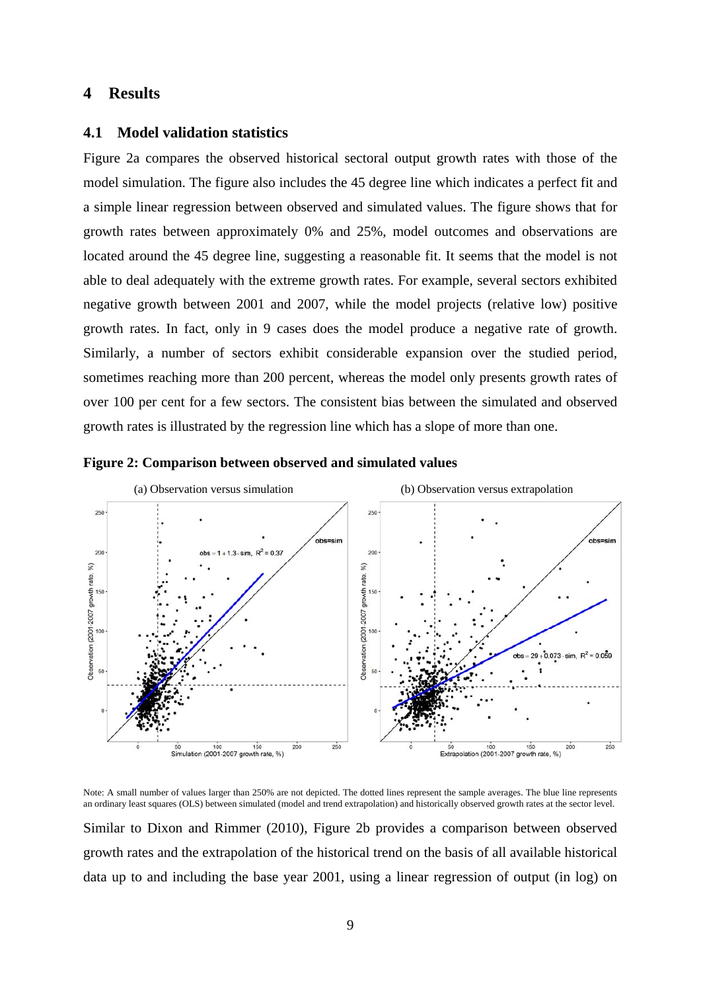# **4 Results**

#### **4.1 Model validation statistics**

Figure 2a compares the observed historical sectoral output growth rates with those of the model simulation. The figure also includes the 45 degree line which indicates a perfect fit and a simple linear regression between observed and simulated values. The figure shows that for growth rates between approximately 0% and 25%, model outcomes and observations are located around the 45 degree line, suggesting a reasonable fit. It seems that the model is not able to deal adequately with the extreme growth rates. For example, several sectors exhibited negative growth between 2001 and 2007, while the model projects (relative low) positive growth rates. In fact, only in 9 cases does the model produce a negative rate of growth. Similarly, a number of sectors exhibit considerable expansion over the studied period, sometimes reaching more than 200 percent, whereas the model only presents growth rates of over 100 per cent for a few sectors. The consistent bias between the simulated and observed growth rates is illustrated by the regression line which has a slope of more than one.





Note: A small number of values larger than 250% are not depicted. The dotted lines represent the sample averages. The blue line represents an ordinary least squares (OLS) between simulated (model and trend extrapolation) and historically observed growth rates at the sector level.

Similar to Dixon and Rimmer (2010), Figure 2b provides a comparison between observed growth rates and the extrapolation of the historical trend on the basis of all available historical data up to and including the base year 2001, using a linear regression of output (in log) on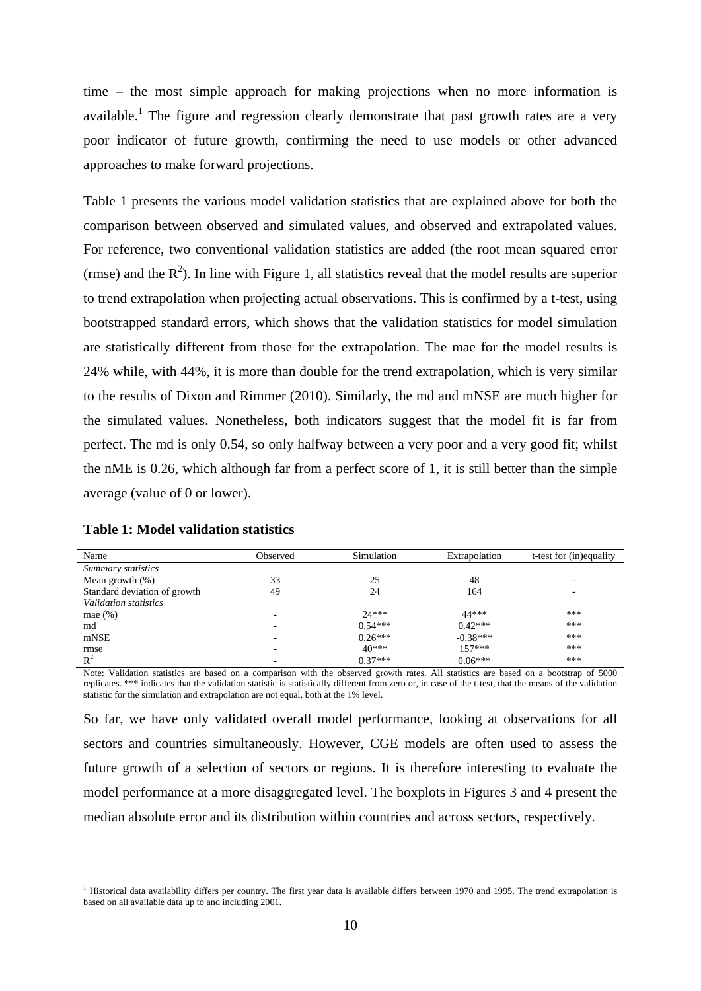time – the most simple approach for making projections when no more information is available.<sup>1</sup> The figure and regression clearly demonstrate that past growth rates are a very poor indicator of future growth, confirming the need to use models or other advanced approaches to make forward projections.

Table 1 presents the various model validation statistics that are explained above for both the comparison between observed and simulated values, and observed and extrapolated values. For reference, two conventional validation statistics are added (the root mean squared error (rmse) and the  $R^2$ ). In line with Figure 1, all statistics reveal that the model results are superior to trend extrapolation when projecting actual observations. This is confirmed by a t-test, using bootstrapped standard errors, which shows that the validation statistics for model simulation are statistically different from those for the extrapolation. The mae for the model results is 24% while, with 44%, it is more than double for the trend extrapolation, which is very similar to the results of Dixon and Rimmer (2010). Similarly, the md and mNSE are much higher for the simulated values. Nonetheless, both indicators suggest that the model fit is far from perfect. The md is only 0.54, so only halfway between a very poor and a very good fit; whilst the nME is 0.26, which although far from a perfect score of 1, it is still better than the simple average (value of 0 or lower).

| Name                         | Observed | Simulation | Extrapolation | t-test for (in)equality |
|------------------------------|----------|------------|---------------|-------------------------|
| Summary statistics           |          |            |               |                         |
| Mean growth $(\%)$           | 33       | 25         | 48            |                         |
| Standard deviation of growth | 49       | 24         | 164           |                         |
| Validation statistics        |          |            |               |                         |
| mae $(\% )$                  | -        | $24***$    | 44***         | ***                     |
| md                           |          | $0.54***$  | $0.42***$     | ***                     |
| mNSE                         |          | $0.26***$  | $-0.38***$    | ***                     |
| rmse                         | -        | $40***$    | $157***$      | ***                     |
| $R^2$                        |          | $0.37***$  | $0.06***$     | ***                     |

1

Note: Validation statistics are based on a comparison with the observed growth rates. All statistics are based on a bootstrap of 5000 replicates. \*\*\* indicates that the validation statistic is statistically different from zero or, in case of the t-test, that the means of the validation statistic for the simulation and extrapolation are not equal, both at the 1% level.

So far, we have only validated overall model performance, looking at observations for all sectors and countries simultaneously. However, CGE models are often used to assess the future growth of a selection of sectors or regions. It is therefore interesting to evaluate the model performance at a more disaggregated level. The boxplots in Figures 3 and 4 present the median absolute error and its distribution within countries and across sectors, respectively.

<sup>&</sup>lt;sup>1</sup> Historical data availability differs per country. The first year data is available differs between 1970 and 1995. The trend extrapolation is based on all available data up to and including 2001.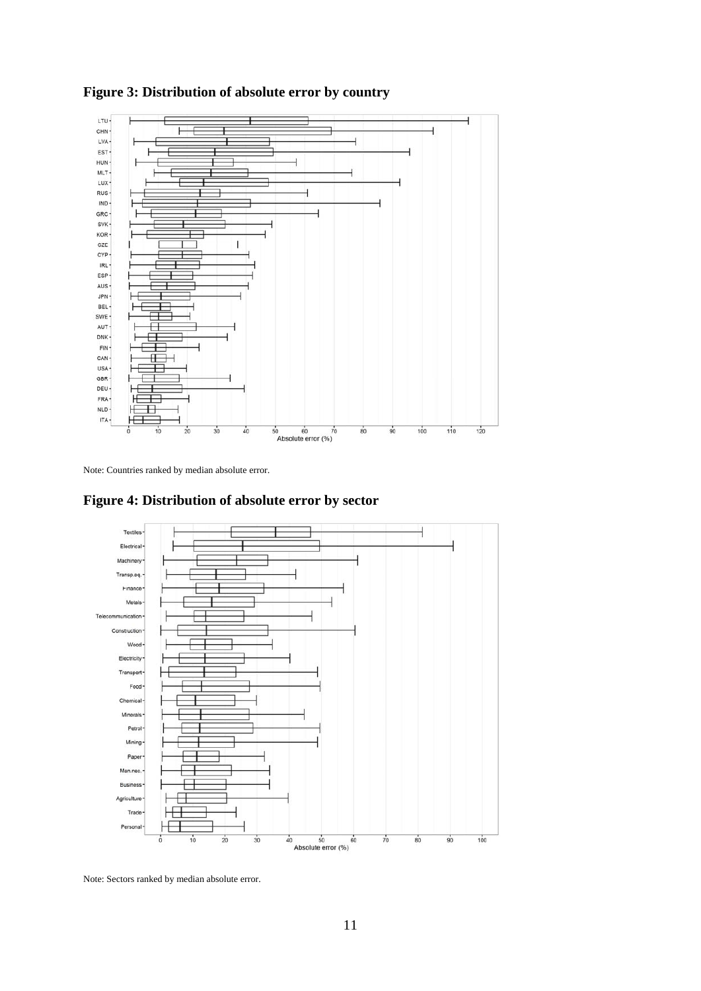

**Figure 3: Distribution of absolute error by country** 

Note: Countries ranked by median absolute error.



**Figure 4: Distribution of absolute error by sector** 

Note: Sectors ranked by median absolute error.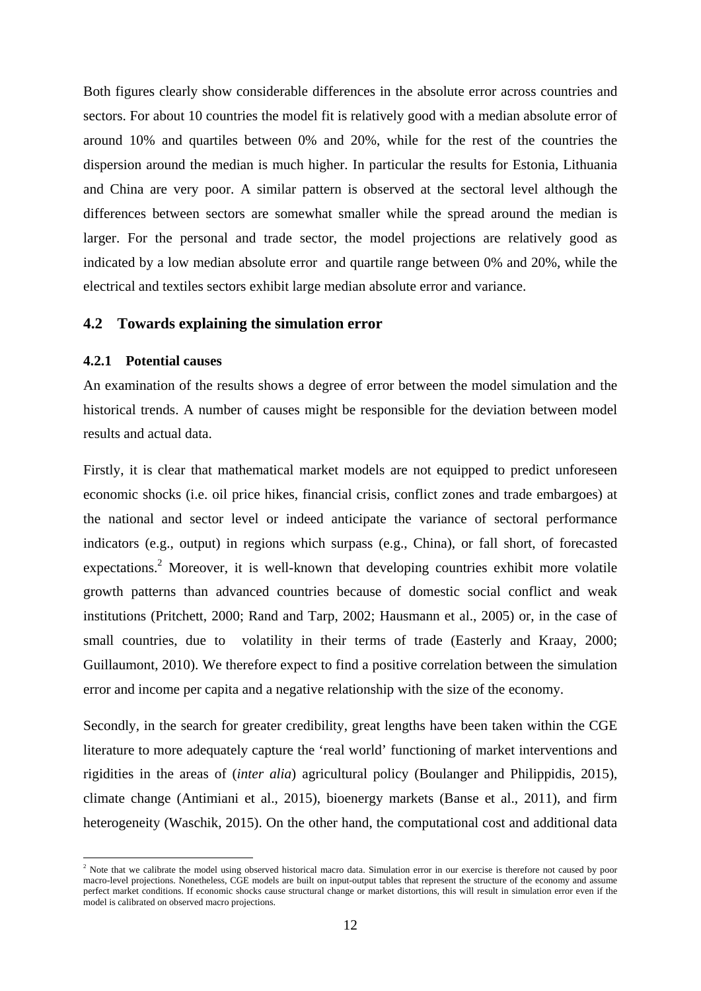Both figures clearly show considerable differences in the absolute error across countries and sectors. For about 10 countries the model fit is relatively good with a median absolute error of around 10% and quartiles between 0% and 20%, while for the rest of the countries the dispersion around the median is much higher. In particular the results for Estonia, Lithuania and China are very poor. A similar pattern is observed at the sectoral level although the differences between sectors are somewhat smaller while the spread around the median is larger. For the personal and trade sector, the model projections are relatively good as indicated by a low median absolute error and quartile range between 0% and 20%, while the electrical and textiles sectors exhibit large median absolute error and variance.

#### **4.2 Towards explaining the simulation error**

#### **4.2.1 Potential causes**

1

An examination of the results shows a degree of error between the model simulation and the historical trends. A number of causes might be responsible for the deviation between model results and actual data.

Firstly, it is clear that mathematical market models are not equipped to predict unforeseen economic shocks (i.e. oil price hikes, financial crisis, conflict zones and trade embargoes) at the national and sector level or indeed anticipate the variance of sectoral performance indicators (e.g., output) in regions which surpass (e.g., China), or fall short, of forecasted expectations.<sup>2</sup> Moreover, it is well-known that developing countries exhibit more volatile growth patterns than advanced countries because of domestic social conflict and weak institutions (Pritchett, 2000; Rand and Tarp, 2002; Hausmann et al., 2005) or, in the case of small countries, due to volatility in their terms of trade (Easterly and Kraay, 2000; Guillaumont, 2010). We therefore expect to find a positive correlation between the simulation error and income per capita and a negative relationship with the size of the economy.

Secondly, in the search for greater credibility, great lengths have been taken within the CGE literature to more adequately capture the 'real world' functioning of market interventions and rigidities in the areas of (*inter alia*) agricultural policy (Boulanger and Philippidis, 2015), climate change (Antimiani et al., 2015), bioenergy markets (Banse et al., 2011), and firm heterogeneity (Waschik, 2015). On the other hand, the computational cost and additional data

<sup>&</sup>lt;sup>2</sup> Note that we calibrate the model using observed historical macro data. Simulation error in our exercise is therefore not caused by poor macro-level projections. Nonetheless, CGE models are built on input-output tables that represent the structure of the economy and assume perfect market conditions. If economic shocks cause structural change or market distortions, this will result in simulation error even if the model is calibrated on observed macro projections.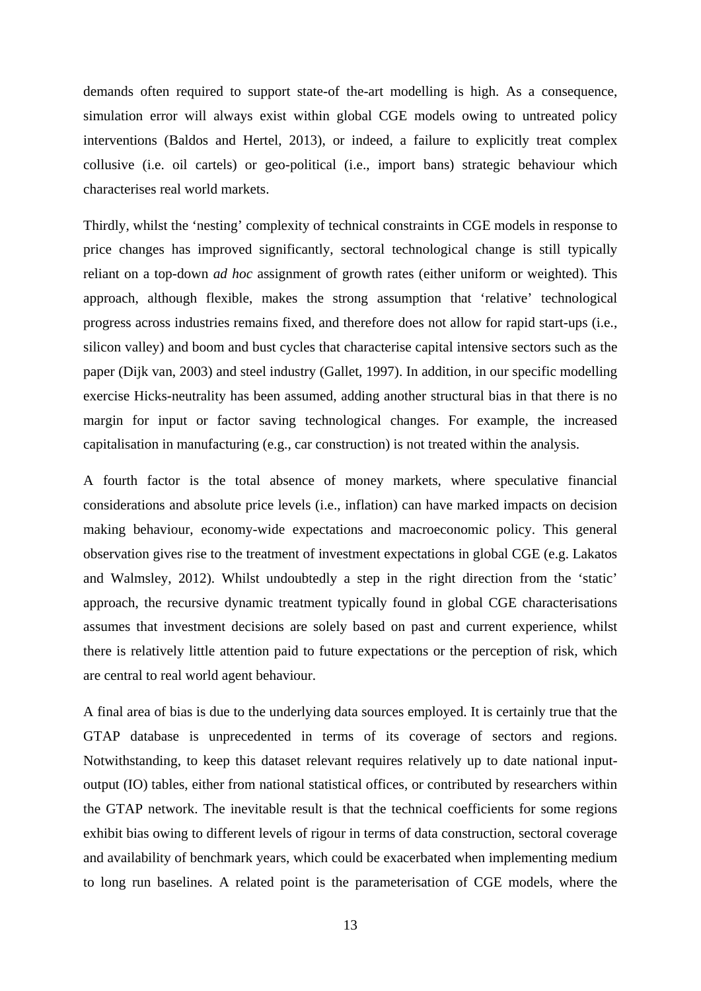demands often required to support state-of the-art modelling is high. As a consequence, simulation error will always exist within global CGE models owing to untreated policy interventions (Baldos and Hertel, 2013), or indeed, a failure to explicitly treat complex collusive (i.e. oil cartels) or geo-political (i.e., import bans) strategic behaviour which characterises real world markets.

Thirdly, whilst the 'nesting' complexity of technical constraints in CGE models in response to price changes has improved significantly, sectoral technological change is still typically reliant on a top-down *ad hoc* assignment of growth rates (either uniform or weighted). This approach, although flexible, makes the strong assumption that 'relative' technological progress across industries remains fixed, and therefore does not allow for rapid start-ups (i.e., silicon valley) and boom and bust cycles that characterise capital intensive sectors such as the paper (Dijk van, 2003) and steel industry (Gallet, 1997). In addition, in our specific modelling exercise Hicks-neutrality has been assumed, adding another structural bias in that there is no margin for input or factor saving technological changes. For example, the increased capitalisation in manufacturing (e.g., car construction) is not treated within the analysis.

A fourth factor is the total absence of money markets, where speculative financial considerations and absolute price levels (i.e., inflation) can have marked impacts on decision making behaviour, economy-wide expectations and macroeconomic policy. This general observation gives rise to the treatment of investment expectations in global CGE (e.g. Lakatos and Walmsley, 2012). Whilst undoubtedly a step in the right direction from the 'static' approach, the recursive dynamic treatment typically found in global CGE characterisations assumes that investment decisions are solely based on past and current experience, whilst there is relatively little attention paid to future expectations or the perception of risk, which are central to real world agent behaviour.

A final area of bias is due to the underlying data sources employed. It is certainly true that the GTAP database is unprecedented in terms of its coverage of sectors and regions. Notwithstanding, to keep this dataset relevant requires relatively up to date national inputoutput (IO) tables, either from national statistical offices, or contributed by researchers within the GTAP network. The inevitable result is that the technical coefficients for some regions exhibit bias owing to different levels of rigour in terms of data construction, sectoral coverage and availability of benchmark years, which could be exacerbated when implementing medium to long run baselines. A related point is the parameterisation of CGE models, where the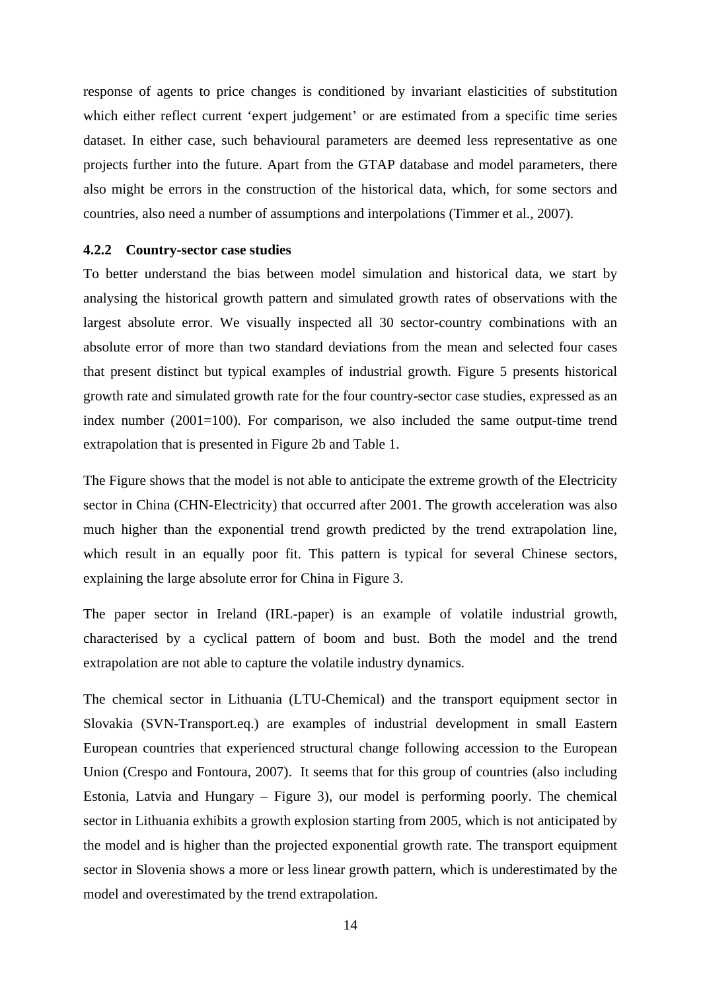response of agents to price changes is conditioned by invariant elasticities of substitution which either reflect current 'expert judgement' or are estimated from a specific time series dataset. In either case, such behavioural parameters are deemed less representative as one projects further into the future. Apart from the GTAP database and model parameters, there also might be errors in the construction of the historical data, which, for some sectors and countries, also need a number of assumptions and interpolations (Timmer et al., 2007).

#### **4.2.2 Country-sector case studies**

To better understand the bias between model simulation and historical data, we start by analysing the historical growth pattern and simulated growth rates of observations with the largest absolute error. We visually inspected all 30 sector-country combinations with an absolute error of more than two standard deviations from the mean and selected four cases that present distinct but typical examples of industrial growth. Figure 5 presents historical growth rate and simulated growth rate for the four country-sector case studies, expressed as an index number (2001=100). For comparison, we also included the same output-time trend extrapolation that is presented in Figure 2b and Table 1.

The Figure shows that the model is not able to anticipate the extreme growth of the Electricity sector in China (CHN-Electricity) that occurred after 2001. The growth acceleration was also much higher than the exponential trend growth predicted by the trend extrapolation line, which result in an equally poor fit. This pattern is typical for several Chinese sectors, explaining the large absolute error for China in Figure 3.

The paper sector in Ireland (IRL-paper) is an example of volatile industrial growth, characterised by a cyclical pattern of boom and bust. Both the model and the trend extrapolation are not able to capture the volatile industry dynamics.

The chemical sector in Lithuania (LTU-Chemical) and the transport equipment sector in Slovakia (SVN-Transport.eq.) are examples of industrial development in small Eastern European countries that experienced structural change following accession to the European Union (Crespo and Fontoura, 2007). It seems that for this group of countries (also including Estonia, Latvia and Hungary – Figure 3), our model is performing poorly. The chemical sector in Lithuania exhibits a growth explosion starting from 2005, which is not anticipated by the model and is higher than the projected exponential growth rate. The transport equipment sector in Slovenia shows a more or less linear growth pattern, which is underestimated by the model and overestimated by the trend extrapolation.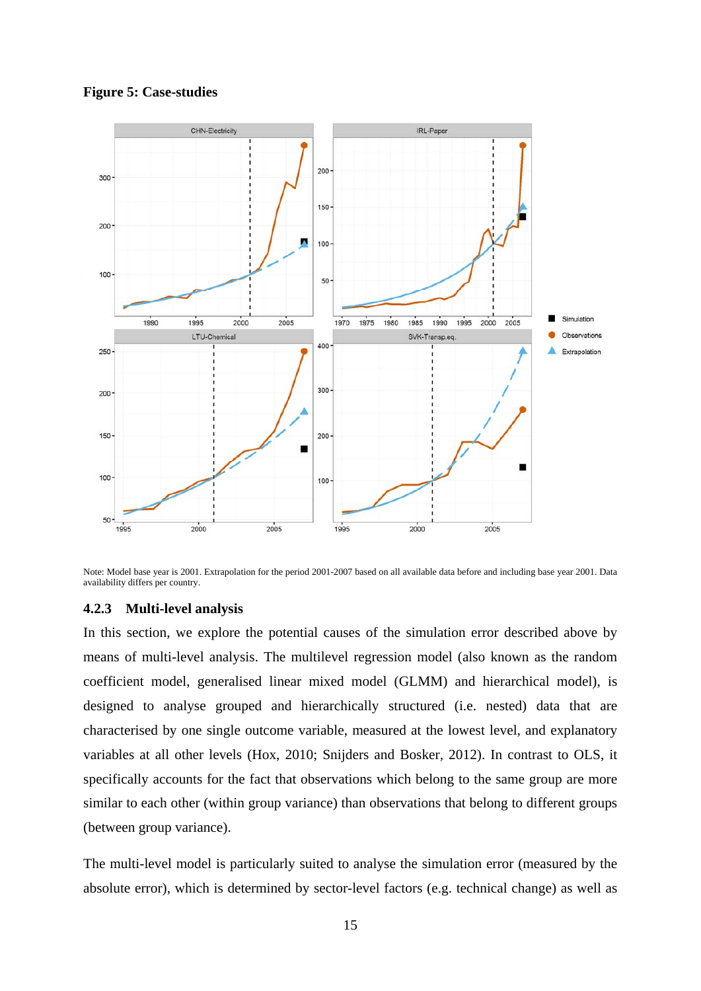

**Figure 5: Case-studies** 

Note: Model base year is 2001. Extrapolation for the period 2001-2007 based on all available data before and including base year 2001. Data availability differs per country.

#### **4.2.3 Multi-level analysis**

In this section, we explore the potential causes of the simulation error described above by means of multi-level analysis. The multilevel regression model (also known as the random coefficient model, generalised linear mixed model (GLMM) and hierarchical model), is designed to analyse grouped and hierarchically structured (i.e. nested) data that are characterised by one single outcome variable, measured at the lowest level, and explanatory variables at all other levels (Hox, 2010; Snijders and Bosker, 2012). In contrast to OLS, it specifically accounts for the fact that observations which belong to the same group are more similar to each other (within group variance) than observations that belong to different groups (between group variance).

The multi-level model is particularly suited to analyse the simulation error (measured by the absolute error), which is determined by sector-level factors (e.g. technical change) as well as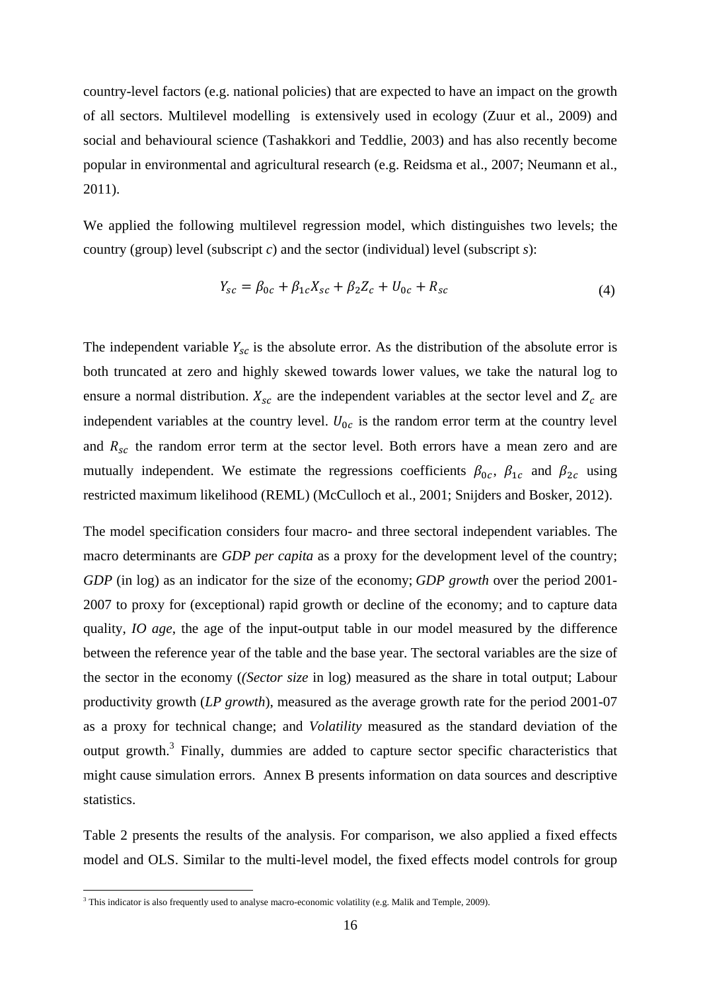country-level factors (e.g. national policies) that are expected to have an impact on the growth of all sectors. Multilevel modelling is extensively used in ecology (Zuur et al., 2009) and social and behavioural science (Tashakkori and Teddlie, 2003) and has also recently become popular in environmental and agricultural research (e.g. Reidsma et al., 2007; Neumann et al., 2011).

We applied the following multilevel regression model, which distinguishes two levels; the country (group) level (subscript *c*) and the sector (individual) level (subscript *s*):

$$
Y_{sc} = \beta_{0c} + \beta_{1c} X_{sc} + \beta_2 Z_c + U_{0c} + R_{sc}
$$
 (4)

The independent variable  $Y_{sc}$  is the absolute error. As the distribution of the absolute error is both truncated at zero and highly skewed towards lower values, we take the natural log to ensure a normal distribution.  $X_{sc}$  are the independent variables at the sector level and  $Z_c$  are independent variables at the country level.  $U_{0c}$  is the random error term at the country level and  $R_{sc}$  the random error term at the sector level. Both errors have a mean zero and are mutually independent. We estimate the regressions coefficients  $\beta_{0c}$ ,  $\beta_{1c}$  and  $\beta_{2c}$  using restricted maximum likelihood (REML) (McCulloch et al., 2001; Snijders and Bosker, 2012).

The model specification considers four macro- and three sectoral independent variables. The macro determinants are *GDP per capita* as a proxy for the development level of the country; *GDP* (in log) as an indicator for the size of the economy; *GDP* growth over the period 2001-2007 to proxy for (exceptional) rapid growth or decline of the economy; and to capture data quality, *IO age*, the age of the input-output table in our model measured by the difference between the reference year of the table and the base year. The sectoral variables are the size of the sector in the economy (*(Sector size* in log) measured as the share in total output; Labour productivity growth (*LP growth*), measured as the average growth rate for the period 2001-07 as a proxy for technical change; and *Volatility* measured as the standard deviation of the output growth.<sup>3</sup> Finally, dummies are added to capture sector specific characteristics that might cause simulation errors. Annex B presents information on data sources and descriptive statistics.

Table 2 presents the results of the analysis. For comparison, we also applied a fixed effects model and OLS. Similar to the multi-level model, the fixed effects model controls for group

<u>.</u>

<sup>&</sup>lt;sup>3</sup> This indicator is also frequently used to analyse macro-economic volatility (e.g. Malik and Temple, 2009).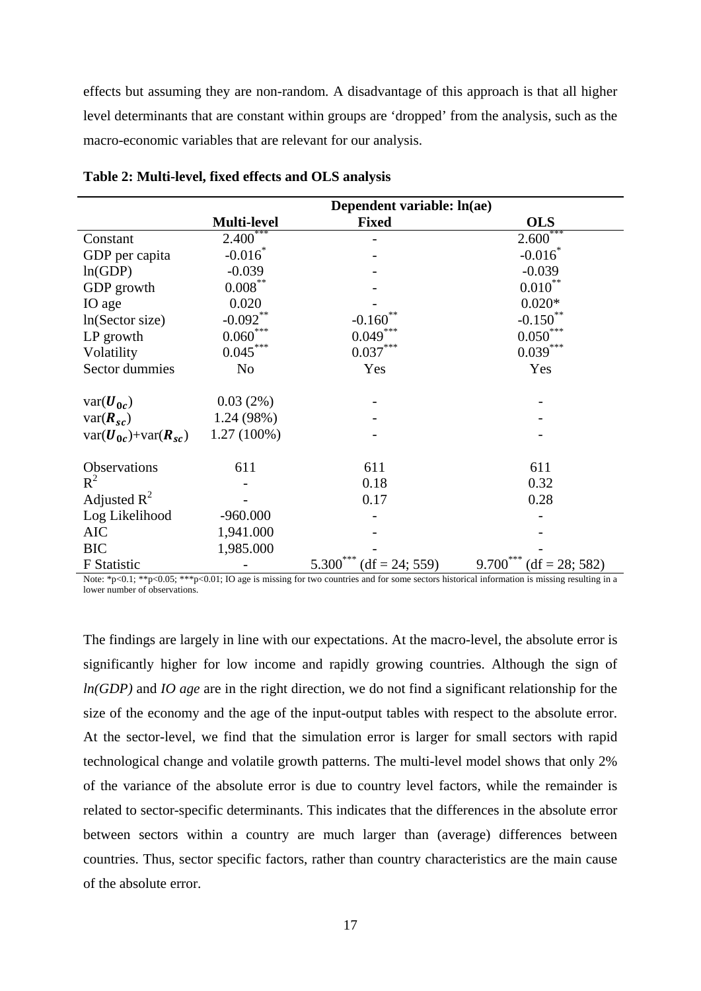effects but assuming they are non-random. A disadvantage of this approach is that all higher level determinants that are constant within groups are 'dropped' from the analysis, such as the macro-economic variables that are relevant for our analysis.

|                                                     | Dependent variable: ln(ae) |                                  |                                     |  |
|-----------------------------------------------------|----------------------------|----------------------------------|-------------------------------------|--|
|                                                     | <b>Multi-level</b>         | <b>Fixed</b>                     | <b>OLS</b>                          |  |
| Constant                                            | $2.400^{\degree}$          |                                  | $2.600***$                          |  |
| GDP per capita                                      | $-0.016$                   |                                  | $-0.016^*$                          |  |
| ln(GDP)                                             | $-0.039$                   |                                  | $-0.039$                            |  |
| GDP growth                                          | $0.008\overset{**}{ }$     |                                  | $0.010^{**}$                        |  |
| IO age                                              | 0.020                      |                                  | $0.020*$                            |  |
| In(Sector size)                                     | $-0.092**$                 | **<br>$-0.160$                   | $-0.150$ **                         |  |
| LP growth                                           | $0.060^\mathrm{***}$       | $0.049***$                       | $0.050^\mathrm{***}$                |  |
| Volatility                                          | $0.045***$                 | $0.037^{\ast\ast\ast}$           | $0.039^{***}$                       |  |
| Sector dummies                                      | N <sub>0</sub>             | Yes                              | Yes                                 |  |
| $var(\boldsymbol{U_{0c}})$                          | 0.03(2%)                   |                                  |                                     |  |
| $var(\mathbf{R}_{sc})$                              | 1.24 (98%)                 |                                  |                                     |  |
| $var(\boldsymbol{U}_{0c})+var(\boldsymbol{R}_{sc})$ | $1.27(100\%)$              |                                  |                                     |  |
| Observations                                        | 611                        | 611                              | 611                                 |  |
| $R^2$                                               |                            | 0.18                             | 0.32                                |  |
| Adjusted $R^2$                                      |                            | 0.17                             | 0.28                                |  |
| Log Likelihood                                      | $-960.000$                 |                                  |                                     |  |
| <b>AIC</b>                                          | 1,941.000                  |                                  |                                     |  |
| <b>BIC</b>                                          | 1,985.000                  |                                  |                                     |  |
| F Statistic                                         |                            | ***<br>$(df = 24; 559)$<br>5.300 | $(df = 28; 582)$<br>$9.700^{\circ}$ |  |

| Table 2: Multi-level, fixed effects and OLS analysis |
|------------------------------------------------------|
|------------------------------------------------------|

Note: \*p<0.1; \*\*p<0.05; \*\*\*p<0.01; IO age is missing for two countries and for some sectors historical information is missing resulting in a lower number of observations.

The findings are largely in line with our expectations. At the macro-level, the absolute error is significantly higher for low income and rapidly growing countries. Although the sign of *ln(GDP)* and *IO age* are in the right direction, we do not find a significant relationship for the size of the economy and the age of the input-output tables with respect to the absolute error. At the sector-level, we find that the simulation error is larger for small sectors with rapid technological change and volatile growth patterns. The multi-level model shows that only 2% of the variance of the absolute error is due to country level factors, while the remainder is related to sector-specific determinants. This indicates that the differences in the absolute error between sectors within a country are much larger than (average) differences between countries. Thus, sector specific factors, rather than country characteristics are the main cause of the absolute error.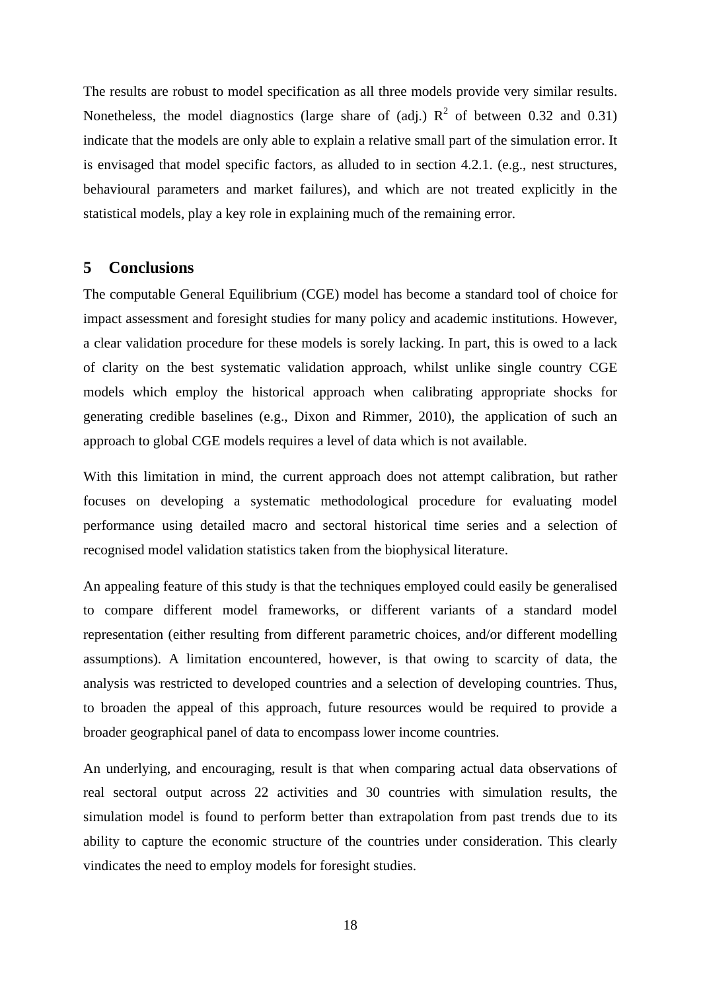The results are robust to model specification as all three models provide very similar results. Nonetheless, the model diagnostics (large share of (adj.)  $R^2$  of between 0.32 and 0.31) indicate that the models are only able to explain a relative small part of the simulation error. It is envisaged that model specific factors, as alluded to in section 4.2.1. (e.g., nest structures, behavioural parameters and market failures), and which are not treated explicitly in the statistical models, play a key role in explaining much of the remaining error.

#### **5 Conclusions**

The computable General Equilibrium (CGE) model has become a standard tool of choice for impact assessment and foresight studies for many policy and academic institutions. However, a clear validation procedure for these models is sorely lacking. In part, this is owed to a lack of clarity on the best systematic validation approach, whilst unlike single country CGE models which employ the historical approach when calibrating appropriate shocks for generating credible baselines (e.g., Dixon and Rimmer, 2010), the application of such an approach to global CGE models requires a level of data which is not available.

With this limitation in mind, the current approach does not attempt calibration, but rather focuses on developing a systematic methodological procedure for evaluating model performance using detailed macro and sectoral historical time series and a selection of recognised model validation statistics taken from the biophysical literature.

An appealing feature of this study is that the techniques employed could easily be generalised to compare different model frameworks, or different variants of a standard model representation (either resulting from different parametric choices, and/or different modelling assumptions). A limitation encountered, however, is that owing to scarcity of data, the analysis was restricted to developed countries and a selection of developing countries. Thus, to broaden the appeal of this approach, future resources would be required to provide a broader geographical panel of data to encompass lower income countries.

An underlying, and encouraging, result is that when comparing actual data observations of real sectoral output across 22 activities and 30 countries with simulation results, the simulation model is found to perform better than extrapolation from past trends due to its ability to capture the economic structure of the countries under consideration. This clearly vindicates the need to employ models for foresight studies.

18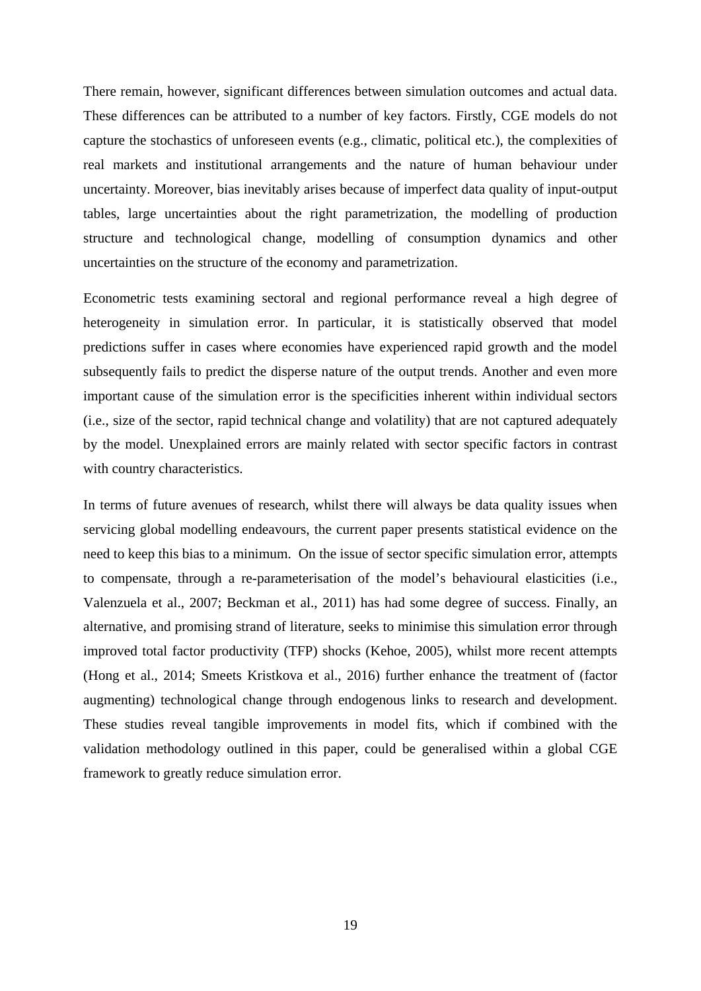There remain, however, significant differences between simulation outcomes and actual data. These differences can be attributed to a number of key factors. Firstly, CGE models do not capture the stochastics of unforeseen events (e.g., climatic, political etc.), the complexities of real markets and institutional arrangements and the nature of human behaviour under uncertainty. Moreover, bias inevitably arises because of imperfect data quality of input-output tables, large uncertainties about the right parametrization, the modelling of production structure and technological change, modelling of consumption dynamics and other uncertainties on the structure of the economy and parametrization.

Econometric tests examining sectoral and regional performance reveal a high degree of heterogeneity in simulation error. In particular, it is statistically observed that model predictions suffer in cases where economies have experienced rapid growth and the model subsequently fails to predict the disperse nature of the output trends. Another and even more important cause of the simulation error is the specificities inherent within individual sectors (i.e., size of the sector, rapid technical change and volatility) that are not captured adequately by the model. Unexplained errors are mainly related with sector specific factors in contrast with country characteristics.

In terms of future avenues of research, whilst there will always be data quality issues when servicing global modelling endeavours, the current paper presents statistical evidence on the need to keep this bias to a minimum. On the issue of sector specific simulation error, attempts to compensate, through a re-parameterisation of the model's behavioural elasticities (i.e., Valenzuela et al., 2007; Beckman et al., 2011) has had some degree of success. Finally, an alternative, and promising strand of literature, seeks to minimise this simulation error through improved total factor productivity (TFP) shocks (Kehoe, 2005), whilst more recent attempts (Hong et al., 2014; Smeets Kristkova et al., 2016) further enhance the treatment of (factor augmenting) technological change through endogenous links to research and development. These studies reveal tangible improvements in model fits, which if combined with the validation methodology outlined in this paper, could be generalised within a global CGE framework to greatly reduce simulation error.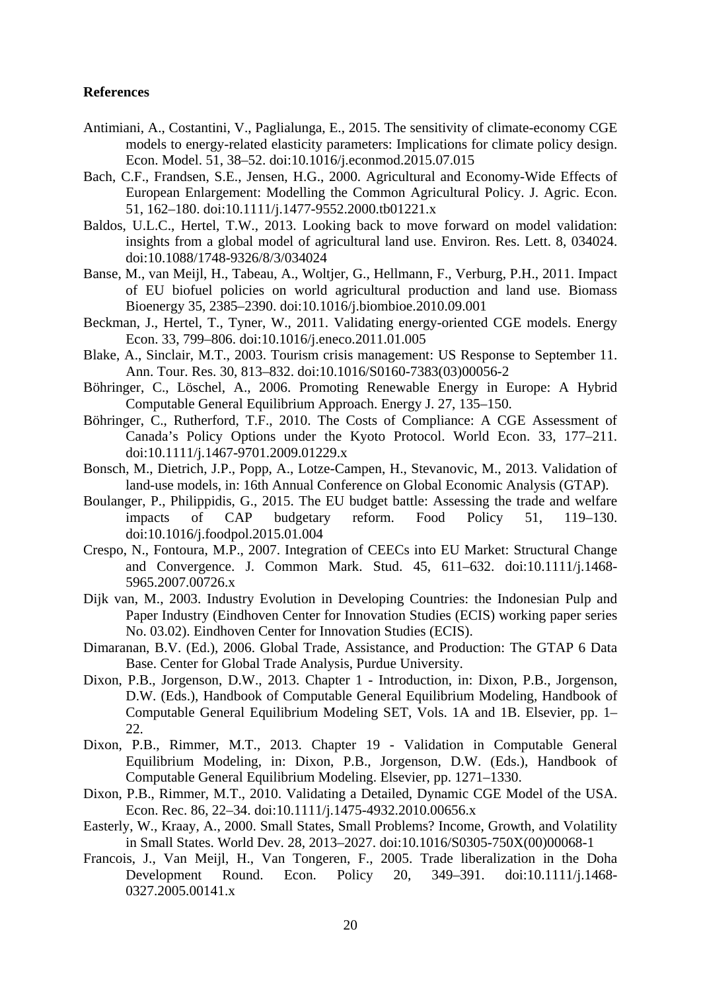#### **References**

- Antimiani, A., Costantini, V., Paglialunga, E., 2015. The sensitivity of climate-economy CGE models to energy-related elasticity parameters: Implications for climate policy design. Econ. Model. 51, 38–52. doi:10.1016/j.econmod.2015.07.015
- Bach, C.F., Frandsen, S.E., Jensen, H.G., 2000. Agricultural and Economy-Wide Effects of European Enlargement: Modelling the Common Agricultural Policy. J. Agric. Econ. 51, 162–180. doi:10.1111/j.1477-9552.2000.tb01221.x
- Baldos, U.L.C., Hertel, T.W., 2013. Looking back to move forward on model validation: insights from a global model of agricultural land use. Environ. Res. Lett. 8, 034024. doi:10.1088/1748-9326/8/3/034024
- Banse, M., van Meijl, H., Tabeau, A., Woltjer, G., Hellmann, F., Verburg, P.H., 2011. Impact of EU biofuel policies on world agricultural production and land use. Biomass Bioenergy 35, 2385–2390. doi:10.1016/j.biombioe.2010.09.001
- Beckman, J., Hertel, T., Tyner, W., 2011. Validating energy-oriented CGE models. Energy Econ. 33, 799–806. doi:10.1016/j.eneco.2011.01.005
- Blake, A., Sinclair, M.T., 2003. Tourism crisis management: US Response to September 11. Ann. Tour. Res. 30, 813–832. doi:10.1016/S0160-7383(03)00056-2
- Böhringer, C., Löschel, A., 2006. Promoting Renewable Energy in Europe: A Hybrid Computable General Equilibrium Approach. Energy J. 27, 135–150.
- Böhringer, C., Rutherford, T.F., 2010. The Costs of Compliance: A CGE Assessment of Canada's Policy Options under the Kyoto Protocol. World Econ. 33, 177–211. doi:10.1111/j.1467-9701.2009.01229.x
- Bonsch, M., Dietrich, J.P., Popp, A., Lotze-Campen, H., Stevanovic, M., 2013. Validation of land-use models, in: 16th Annual Conference on Global Economic Analysis (GTAP).
- Boulanger, P., Philippidis, G., 2015. The EU budget battle: Assessing the trade and welfare impacts of CAP budgetary reform. Food Policy 51, 119–130. doi:10.1016/j.foodpol.2015.01.004
- Crespo, N., Fontoura, M.P., 2007. Integration of CEECs into EU Market: Structural Change and Convergence. J. Common Mark. Stud. 45, 611–632. doi:10.1111/j.1468- 5965.2007.00726.x
- Dijk van, M., 2003. Industry Evolution in Developing Countries: the Indonesian Pulp and Paper Industry (Eindhoven Center for Innovation Studies (ECIS) working paper series No. 03.02). Eindhoven Center for Innovation Studies (ECIS).
- Dimaranan, B.V. (Ed.), 2006. Global Trade, Assistance, and Production: The GTAP 6 Data Base. Center for Global Trade Analysis, Purdue University.
- Dixon, P.B., Jorgenson, D.W., 2013. Chapter 1 Introduction, in: Dixon, P.B., Jorgenson, D.W. (Eds.), Handbook of Computable General Equilibrium Modeling, Handbook of Computable General Equilibrium Modeling SET, Vols. 1A and 1B. Elsevier, pp. 1– 22.
- Dixon, P.B., Rimmer, M.T., 2013. Chapter 19 Validation in Computable General Equilibrium Modeling, in: Dixon, P.B., Jorgenson, D.W. (Eds.), Handbook of Computable General Equilibrium Modeling. Elsevier, pp. 1271–1330.
- Dixon, P.B., Rimmer, M.T., 2010. Validating a Detailed, Dynamic CGE Model of the USA. Econ. Rec. 86, 22–34. doi:10.1111/j.1475-4932.2010.00656.x
- Easterly, W., Kraay, A., 2000. Small States, Small Problems? Income, Growth, and Volatility in Small States. World Dev. 28, 2013–2027. doi:10.1016/S0305-750X(00)00068-1
- Francois, J., Van Meijl, H., Van Tongeren, F., 2005. Trade liberalization in the Doha Development Round. Econ. Policy 20, 349–391. doi:10.1111/j.1468- 0327.2005.00141.x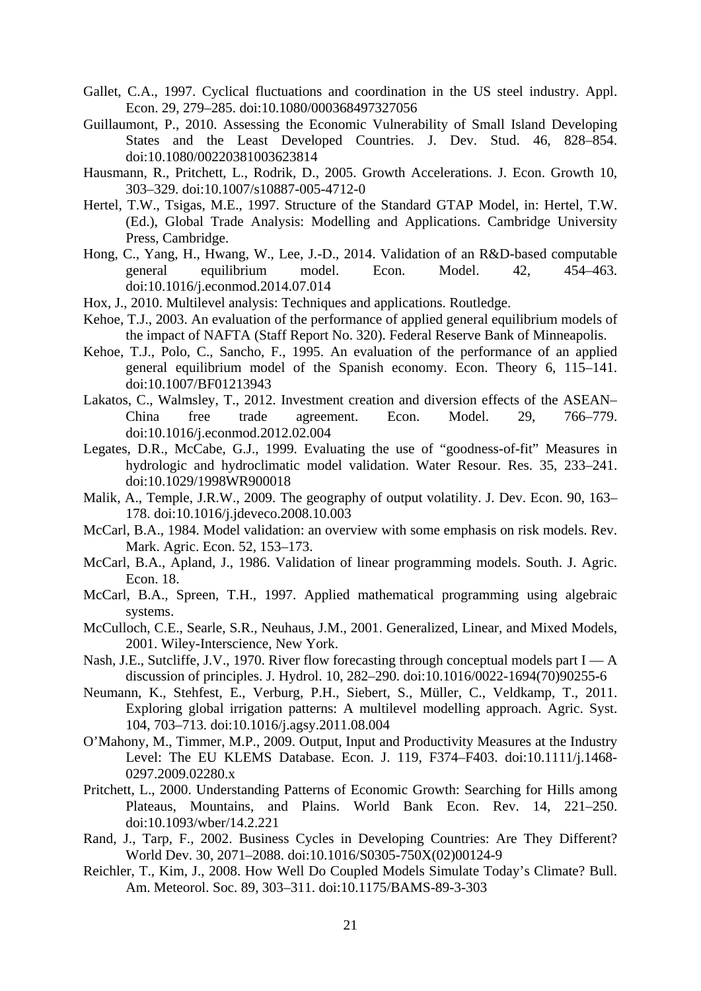- Gallet, C.A., 1997. Cyclical fluctuations and coordination in the US steel industry. Appl. Econ. 29, 279–285. doi:10.1080/000368497327056
- Guillaumont, P., 2010. Assessing the Economic Vulnerability of Small Island Developing States and the Least Developed Countries. J. Dev. Stud. 46, 828–854. doi:10.1080/00220381003623814
- Hausmann, R., Pritchett, L., Rodrik, D., 2005. Growth Accelerations. J. Econ. Growth 10, 303–329. doi:10.1007/s10887-005-4712-0
- Hertel, T.W., Tsigas, M.E., 1997. Structure of the Standard GTAP Model, in: Hertel, T.W. (Ed.), Global Trade Analysis: Modelling and Applications. Cambridge University Press, Cambridge.
- Hong, C., Yang, H., Hwang, W., Lee, J.-D., 2014. Validation of an R&D-based computable general equilibrium model. Econ. Model. 42, 454–463. doi:10.1016/j.econmod.2014.07.014
- Hox, J., 2010. Multilevel analysis: Techniques and applications. Routledge.
- Kehoe, T.J., 2003. An evaluation of the performance of applied general equilibrium models of the impact of NAFTA (Staff Report No. 320). Federal Reserve Bank of Minneapolis.
- Kehoe, T.J., Polo, C., Sancho, F., 1995. An evaluation of the performance of an applied general equilibrium model of the Spanish economy. Econ. Theory 6, 115–141. doi:10.1007/BF01213943
- Lakatos, C., Walmsley, T., 2012. Investment creation and diversion effects of the ASEAN– China free trade agreement. Econ. Model. 29, 766–779. doi:10.1016/j.econmod.2012.02.004
- Legates, D.R., McCabe, G.J., 1999. Evaluating the use of "goodness-of-fit" Measures in hydrologic and hydroclimatic model validation. Water Resour. Res. 35, 233–241. doi:10.1029/1998WR900018
- Malik, A., Temple, J.R.W., 2009. The geography of output volatility. J. Dev. Econ. 90, 163– 178. doi:10.1016/j.jdeveco.2008.10.003
- McCarl, B.A., 1984. Model validation: an overview with some emphasis on risk models. Rev. Mark. Agric. Econ. 52, 153–173.
- McCarl, B.A., Apland, J., 1986. Validation of linear programming models. South. J. Agric. Econ. 18.
- McCarl, B.A., Spreen, T.H., 1997. Applied mathematical programming using algebraic systems.
- McCulloch, C.E., Searle, S.R., Neuhaus, J.M., 2001. Generalized, Linear, and Mixed Models, 2001. Wiley-Interscience, New York.
- Nash, J.E., Sutcliffe, J.V., 1970. River flow forecasting through conceptual models part I A discussion of principles. J. Hydrol. 10, 282–290. doi:10.1016/0022-1694(70)90255-6
- Neumann, K., Stehfest, E., Verburg, P.H., Siebert, S., Müller, C., Veldkamp, T., 2011. Exploring global irrigation patterns: A multilevel modelling approach. Agric. Syst. 104, 703–713. doi:10.1016/j.agsy.2011.08.004
- O'Mahony, M., Timmer, M.P., 2009. Output, Input and Productivity Measures at the Industry Level: The EU KLEMS Database. Econ. J. 119, F374–F403. doi:10.1111/j.1468- 0297.2009.02280.x
- Pritchett, L., 2000. Understanding Patterns of Economic Growth: Searching for Hills among Plateaus, Mountains, and Plains. World Bank Econ. Rev. 14, 221–250. doi:10.1093/wber/14.2.221
- Rand, J., Tarp, F., 2002. Business Cycles in Developing Countries: Are They Different? World Dev. 30, 2071–2088. doi:10.1016/S0305-750X(02)00124-9
- Reichler, T., Kim, J., 2008. How Well Do Coupled Models Simulate Today's Climate? Bull. Am. Meteorol. Soc. 89, 303–311. doi:10.1175/BAMS-89-3-303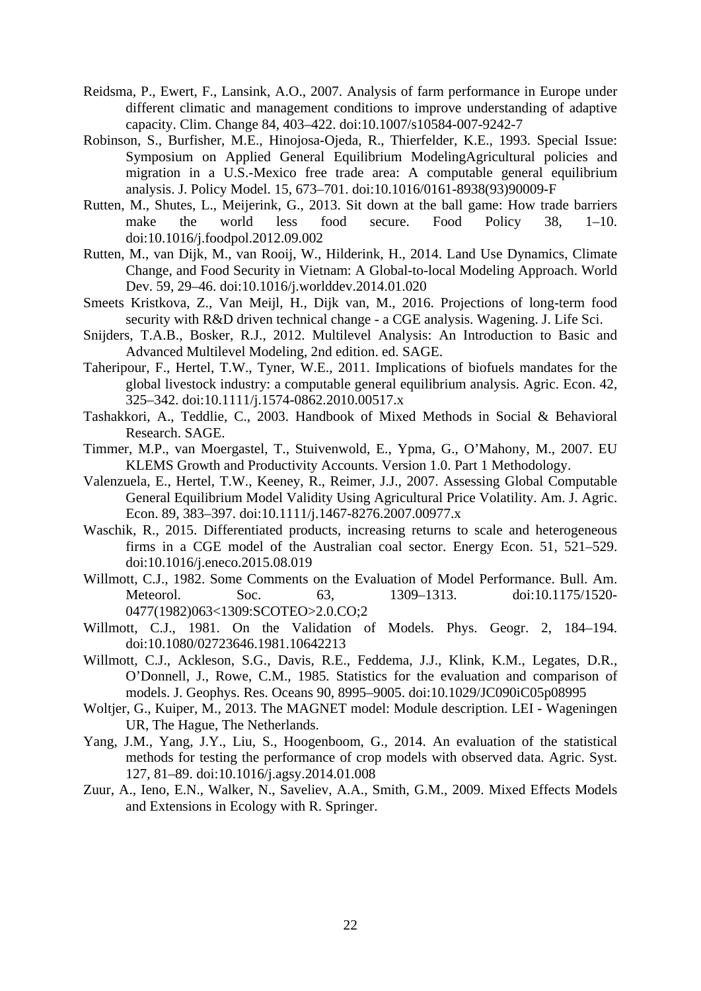- Reidsma, P., Ewert, F., Lansink, A.O., 2007. Analysis of farm performance in Europe under different climatic and management conditions to improve understanding of adaptive capacity. Clim. Change 84, 403–422. doi:10.1007/s10584-007-9242-7
- Robinson, S., Burfisher, M.E., Hinojosa-Ojeda, R., Thierfelder, K.E., 1993. Special Issue: Symposium on Applied General Equilibrium ModelingAgricultural policies and migration in a U.S.-Mexico free trade area: A computable general equilibrium analysis. J. Policy Model. 15, 673–701. doi:10.1016/0161-8938(93)90009-F
- Rutten, M., Shutes, L., Meijerink, G., 2013. Sit down at the ball game: How trade barriers make the world less food secure. Food Policy 38, 1–10. doi:10.1016/j.foodpol.2012.09.002
- Rutten, M., van Dijk, M., van Rooij, W., Hilderink, H., 2014. Land Use Dynamics, Climate Change, and Food Security in Vietnam: A Global-to-local Modeling Approach. World Dev. 59, 29–46. doi:10.1016/j.worlddev.2014.01.020
- Smeets Kristkova, Z., Van Meijl, H., Dijk van, M., 2016. Projections of long-term food security with R&D driven technical change - a CGE analysis. Wagening. J. Life Sci.
- Snijders, T.A.B., Bosker, R.J., 2012. Multilevel Analysis: An Introduction to Basic and Advanced Multilevel Modeling, 2nd edition. ed. SAGE.
- Taheripour, F., Hertel, T.W., Tyner, W.E., 2011. Implications of biofuels mandates for the global livestock industry: a computable general equilibrium analysis. Agric. Econ. 42, 325–342. doi:10.1111/j.1574-0862.2010.00517.x
- Tashakkori, A., Teddlie, C., 2003. Handbook of Mixed Methods in Social & Behavioral Research. SAGE.
- Timmer, M.P., van Moergastel, T., Stuivenwold, E., Ypma, G., O'Mahony, M., 2007. EU KLEMS Growth and Productivity Accounts. Version 1.0. Part 1 Methodology.
- Valenzuela, E., Hertel, T.W., Keeney, R., Reimer, J.J., 2007. Assessing Global Computable General Equilibrium Model Validity Using Agricultural Price Volatility. Am. J. Agric. Econ. 89, 383–397. doi:10.1111/j.1467-8276.2007.00977.x
- Waschik, R., 2015. Differentiated products, increasing returns to scale and heterogeneous firms in a CGE model of the Australian coal sector. Energy Econ. 51, 521–529. doi:10.1016/j.eneco.2015.08.019
- Willmott, C.J., 1982. Some Comments on the Evaluation of Model Performance. Bull. Am. Meteorol. Soc. 63, 1309–1313. doi:10.1175/1520- 0477(1982)063<1309:SCOTEO>2.0.CO;2
- Willmott, C.J., 1981. On the Validation of Models. Phys. Geogr. 2, 184–194. doi:10.1080/02723646.1981.10642213
- Willmott, C.J., Ackleson, S.G., Davis, R.E., Feddema, J.J., Klink, K.M., Legates, D.R., O'Donnell, J., Rowe, C.M., 1985. Statistics for the evaluation and comparison of models. J. Geophys. Res. Oceans 90, 8995–9005. doi:10.1029/JC090iC05p08995
- Woltjer, G., Kuiper, M., 2013. The MAGNET model: Module description. LEI Wageningen UR, The Hague, The Netherlands.
- Yang, J.M., Yang, J.Y., Liu, S., Hoogenboom, G., 2014. An evaluation of the statistical methods for testing the performance of crop models with observed data. Agric. Syst. 127, 81–89. doi:10.1016/j.agsy.2014.01.008
- Zuur, A., Ieno, E.N., Walker, N., Saveliev, A.A., Smith, G.M., 2009. Mixed Effects Models and Extensions in Ecology with R. Springer.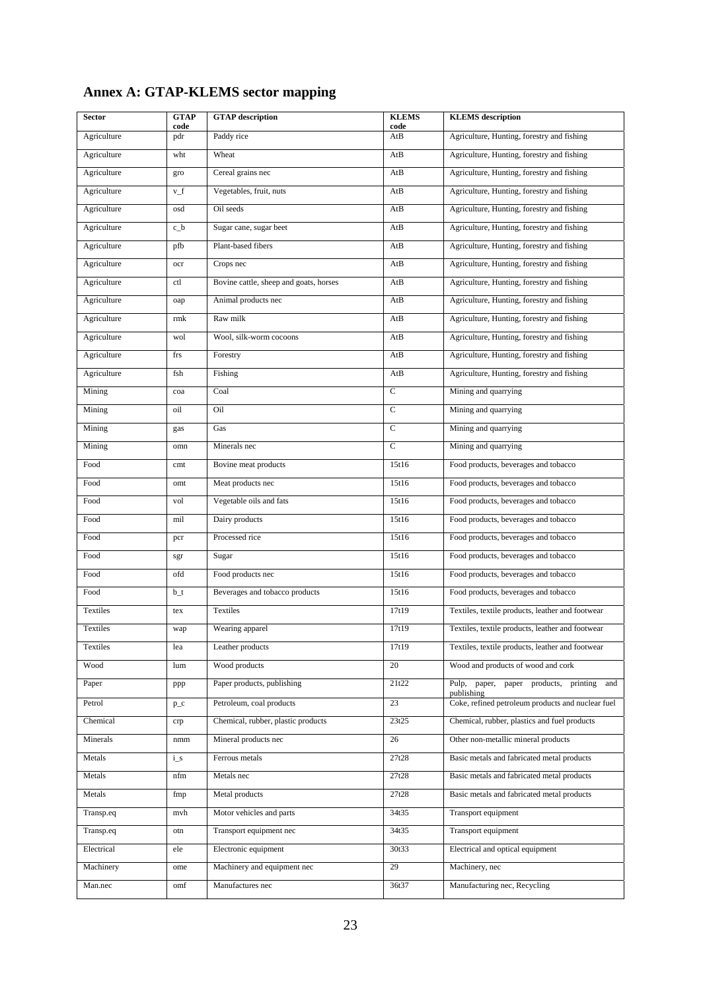| <b>Sector</b> | <b>GTAP</b><br>code | <b>GTAP</b> description                | <b>KLEMS</b><br>code | <b>KLEMS</b> description                                |
|---------------|---------------------|----------------------------------------|----------------------|---------------------------------------------------------|
| Agriculture   | pdr                 | Paddy rice                             | AtB                  | Agriculture, Hunting, forestry and fishing              |
| Agriculture   | wht                 | Wheat                                  | AtB                  | Agriculture, Hunting, forestry and fishing              |
| Agriculture   | gro                 | Cereal grains nec                      | AtB                  | Agriculture, Hunting, forestry and fishing              |
| Agriculture   | $v_f$               | Vegetables, fruit, nuts                | AtB                  | Agriculture, Hunting, forestry and fishing              |
| Agriculture   | osd                 | Oil seeds                              | AtB                  | Agriculture, Hunting, forestry and fishing              |
| Agriculture   | $c_b$               | Sugar cane, sugar beet                 | AtB                  | Agriculture, Hunting, forestry and fishing              |
| Agriculture   | pfb                 | Plant-based fibers                     | AtB                  | Agriculture, Hunting, forestry and fishing              |
| Agriculture   | ocr                 | Crops nec                              | AtB                  | Agriculture, Hunting, forestry and fishing              |
| Agriculture   | ctl                 | Bovine cattle, sheep and goats, horses | AtB                  | Agriculture, Hunting, forestry and fishing              |
| Agriculture   | oap                 | Animal products nec                    | AtB                  | Agriculture, Hunting, forestry and fishing              |
| Agriculture   | rmk                 | Raw milk                               | AtB                  | Agriculture, Hunting, forestry and fishing              |
| Agriculture   | wol                 | Wool, silk-worm cocoons                | AtB                  | Agriculture, Hunting, forestry and fishing              |
| Agriculture   | frs                 | Forestry                               | AtB                  | Agriculture, Hunting, forestry and fishing              |
| Agriculture   | fsh                 | Fishing                                | AtB                  | Agriculture, Hunting, forestry and fishing              |
| Mining        | coa                 | Coal                                   | $\mathbf C$          | Mining and quarrying                                    |
| Mining        | oil                 | Oil                                    | $\mathbf C$          | Mining and quarrying                                    |
| Mining        | gas                 | Gas                                    | $\mathsf{C}$         | Mining and quarrying                                    |
| Mining        | omn                 | Minerals nec                           | $\mathbf C$          | Mining and quarrying                                    |
| Food          | cmt                 | Bovine meat products                   | 15t16                | Food products, beverages and tobacco                    |
| Food          | omt                 | Meat products nec                      | 15t16                | Food products, beverages and tobacco                    |
| Food          | vol                 | Vegetable oils and fats                | 15t16                | Food products, beverages and tobacco                    |
| Food          | mil                 | Dairy products                         | 15t16                | Food products, beverages and tobacco                    |
| Food          | pcr                 | Processed rice                         | 15t16                | Food products, beverages and tobacco                    |
| Food          | sgr                 | Sugar                                  | 15t16                | Food products, beverages and tobacco                    |
| Food          | ofd                 | Food products nec                      | 15t16                | Food products, beverages and tobacco                    |
| Food          | $b_t$               | Beverages and tobacco products         | 15t16                | Food products, beverages and tobacco                    |
| Textiles      | tex                 | Textiles                               | 17t19                | Textiles, textile products, leather and footwear        |
| Textiles      | wap                 | Wearing apparel                        | 17t19                | Textiles, textile products, leather and footwear        |
| Textiles      | lea                 | Leather products                       | 17t19                | Textiles, textile products, leather and footwear        |
| Wood          | lum                 | Wood products                          | 20                   | Wood and products of wood and cork                      |
| Paper         | ppp                 | Paper products, publishing             | 21t22                | Pulp, paper, paper products, printing and<br>publishing |
| Petrol        | $p_{-}c$            | Petroleum, coal products               | 23                   | Coke, refined petroleum products and nuclear fuel       |
| Chemical      | crp                 | Chemical, rubber, plastic products     | 23t25                | Chemical, rubber, plastics and fuel products            |
| Minerals      | nmm                 | Mineral products nec                   | 26                   | Other non-metallic mineral products                     |
| Metals        | $i_s$               | Ferrous metals                         | 27t28                | Basic metals and fabricated metal products              |
| Metals        | nfm                 | Metals nec                             | 27t28                | Basic metals and fabricated metal products              |
| Metals        | fmp                 | Metal products                         | 27t28                | Basic metals and fabricated metal products              |
| Transp.eq     | mvh                 | Motor vehicles and parts               | 34t35                | Transport equipment                                     |
| Transp.eq     | otn                 | Transport equipment nec                | 34t35                | Transport equipment                                     |
| Electrical    | ele                 | Electronic equipment                   | 30t33                | Electrical and optical equipment                        |
| Machinery     | ome                 | Machinery and equipment nec            | 29                   | Machinery, nec                                          |
| Man.nec       | omf                 | Manufactures nec                       | 36t37                | Manufacturing nec, Recycling                            |

# **Annex A: GTAP-KLEMS sector mapping**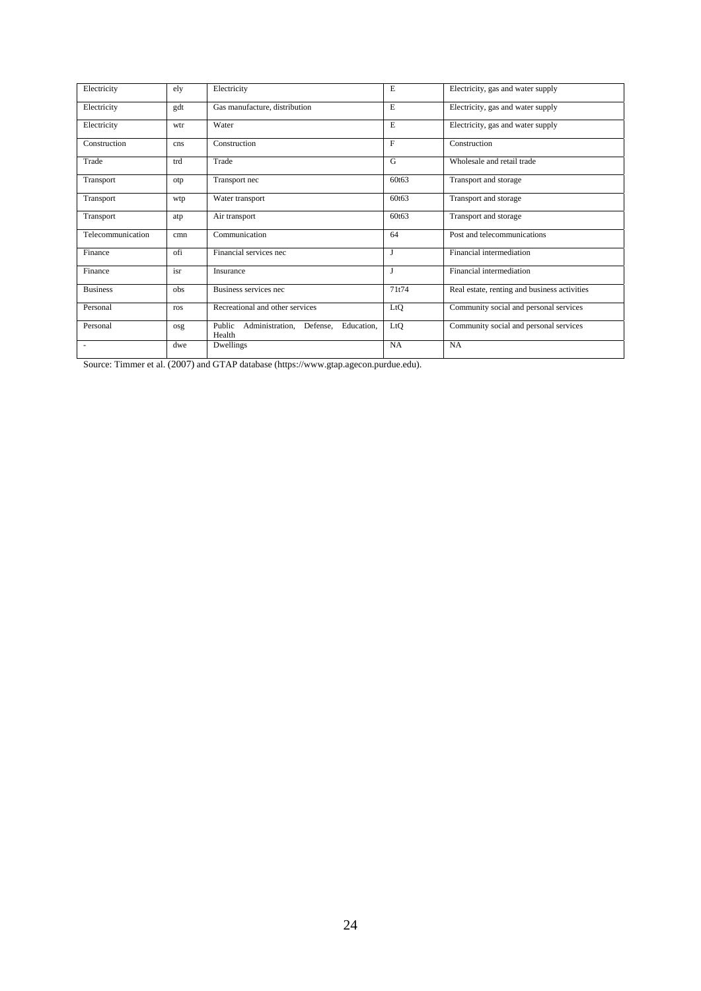| Electricity              | ely | Electricity                                                   | E            | Electricity, gas and water supply            |
|--------------------------|-----|---------------------------------------------------------------|--------------|----------------------------------------------|
| Electricity              | gdt | Gas manufacture, distribution                                 | E            | Electricity, gas and water supply            |
| Electricity              | wtr | Water                                                         | E            | Electricity, gas and water supply            |
| Construction             | cns | Construction                                                  | $\mathbf{F}$ | Construction                                 |
| Trade                    | trd | Trade                                                         | G            | Wholesale and retail trade                   |
| Transport                | otp | Transport nec                                                 | 60t63        | Transport and storage                        |
| Transport                | wtp | Water transport                                               | 60t63        | Transport and storage                        |
| Transport                | atp | Air transport                                                 | 60t63        | Transport and storage                        |
| Telecommunication        | cmn | Communication                                                 | 64           | Post and telecommunications                  |
| Finance                  | ofi | Financial services nec                                        |              | Financial intermediation                     |
| Finance                  | isr | Insurance                                                     | J            | Financial intermediation                     |
| <b>Business</b>          | obs | Business services nec                                         | 71t74        | Real estate, renting and business activities |
| Personal                 | ros | Recreational and other services                               | LtQ          | Community social and personal services       |
| Personal                 | osg | Public<br>Administration,<br>Education,<br>Defense,<br>Health | LtQ          | Community social and personal services       |
| $\overline{\phantom{a}}$ | dwe | Dwellings                                                     | NA           | NA                                           |

Source: Timmer et al. (2007) and GTAP database (https://www.gtap.agecon.purdue.edu).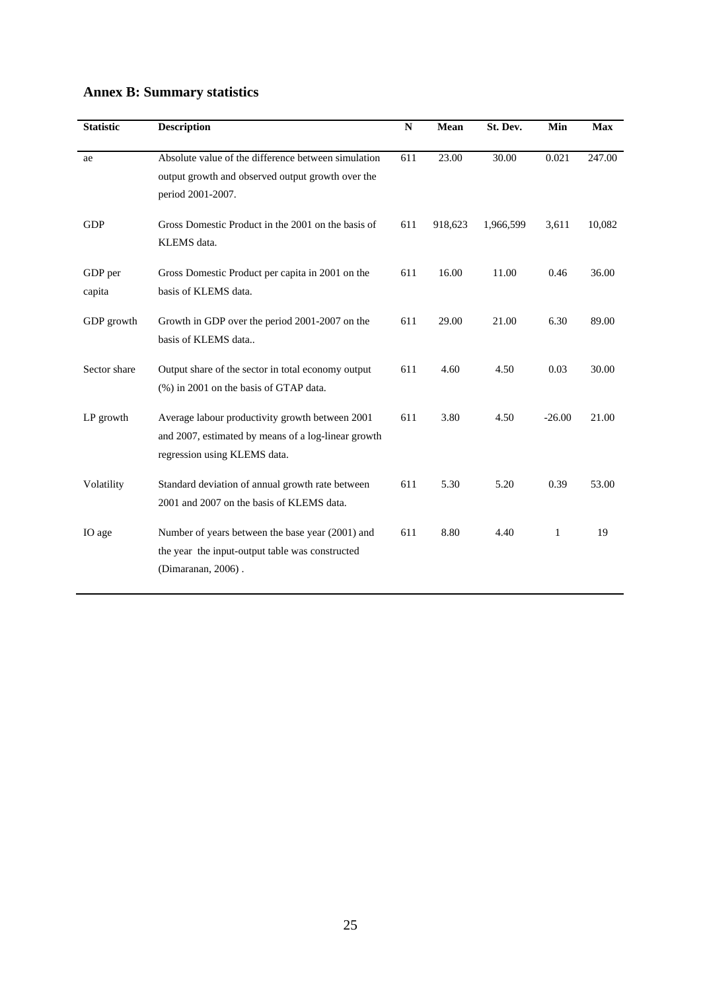| <b>Statistic</b>  | <b>Description</b>                                                                                                                     | N   | Mean    | St. Dev.  | Min      | <b>Max</b> |
|-------------------|----------------------------------------------------------------------------------------------------------------------------------------|-----|---------|-----------|----------|------------|
| ae                | Absolute value of the difference between simulation<br>output growth and observed output growth over the<br>period 2001-2007.          | 611 | 23.00   | 30.00     | 0.021    | 247.00     |
| <b>GDP</b>        | Gross Domestic Product in the 2001 on the basis of<br>KLEMS data.                                                                      | 611 | 918,623 | 1,966,599 | 3,611    | 10,082     |
| GDP per<br>capita | Gross Domestic Product per capita in 2001 on the<br>basis of KLEMS data.                                                               | 611 | 16.00   | 11.00     | 0.46     | 36.00      |
| GDP growth        | Growth in GDP over the period 2001-2007 on the<br>basis of KLEMS data                                                                  | 611 | 29.00   | 21.00     | 6.30     | 89.00      |
| Sector share      | Output share of the sector in total economy output<br>(%) in 2001 on the basis of GTAP data.                                           | 611 | 4.60    | 4.50      | 0.03     | 30.00      |
| LP growth         | Average labour productivity growth between 2001<br>and 2007, estimated by means of a log-linear growth<br>regression using KLEMS data. | 611 | 3.80    | 4.50      | $-26.00$ | 21.00      |
| Volatility        | Standard deviation of annual growth rate between<br>2001 and 2007 on the basis of KLEMS data.                                          | 611 | 5.30    | 5.20      | 0.39     | 53.00      |
| IO age            | Number of years between the base year (2001) and<br>the year the input-output table was constructed<br>(Dimaranan, 2006).              | 611 | 8.80    | 4.40      | 1        | 19         |

# **Annex B: Summary statistics**